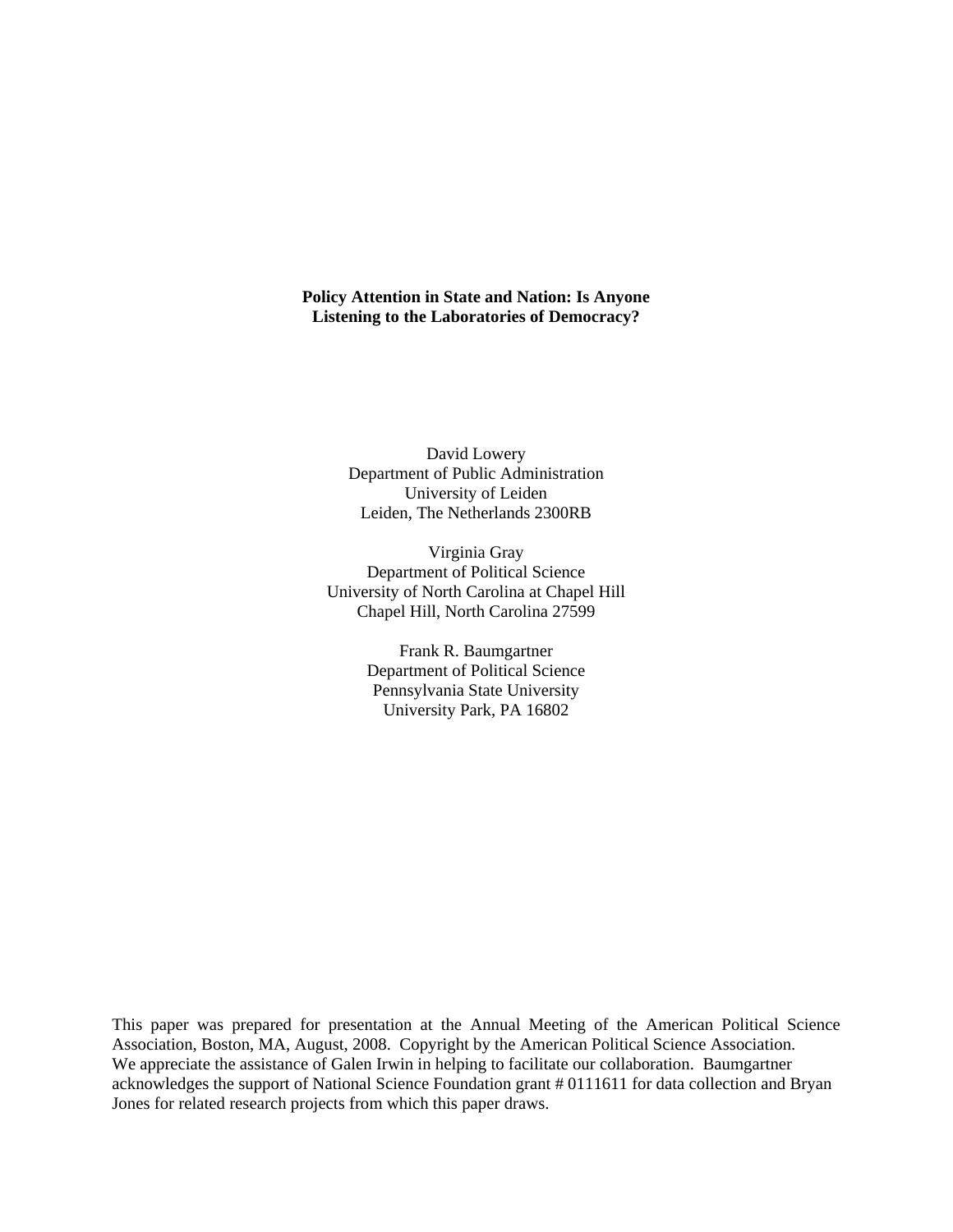## **Policy Attention in State and Nation: Is Anyone Listening to the Laboratories of Democracy?**

David Lowery Department of Public Administration University of Leiden Leiden, The Netherlands 2300RB

Virginia Gray Department of Political Science University of North Carolina at Chapel Hill Chapel Hill, North Carolina 27599

> Frank R. Baumgartner Department of Political Science Pennsylvania State University University Park, PA 16802

This paper was prepared for presentation at the Annual Meeting of the American Political Science Association, Boston, MA, August, 2008. Copyright by the American Political Science Association. We appreciate the assistance of Galen Irwin in helping to facilitate our collaboration. Baumgartner acknowledges the support of National Science Foundation grant # 0111611 for data collection and Bryan Jones for related research projects from which this paper draws.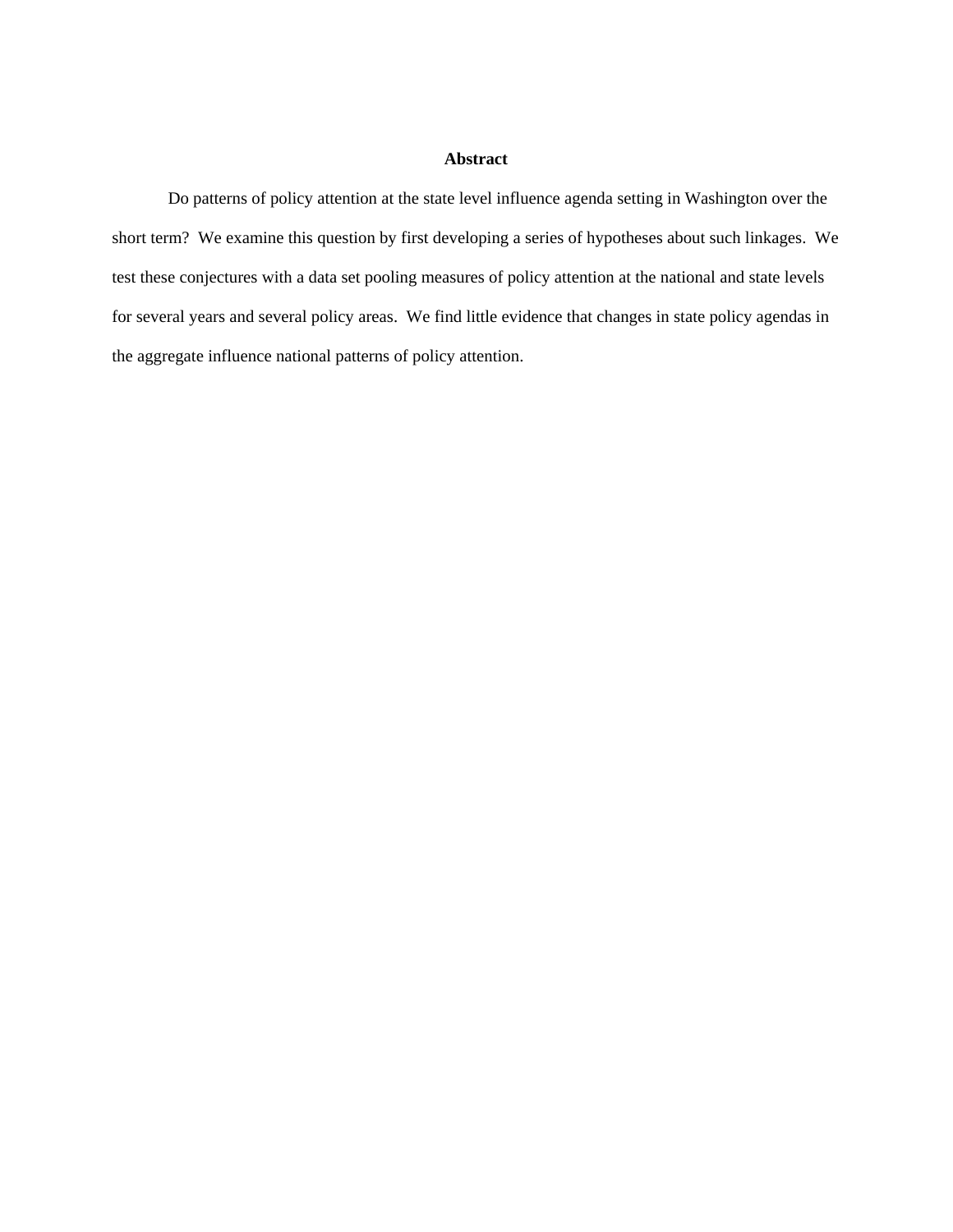## **Abstract**

Do patterns of policy attention at the state level influence agenda setting in Washington over the short term? We examine this question by first developing a series of hypotheses about such linkages. We test these conjectures with a data set pooling measures of policy attention at the national and state levels for several years and several policy areas. We find little evidence that changes in state policy agendas in the aggregate influence national patterns of policy attention.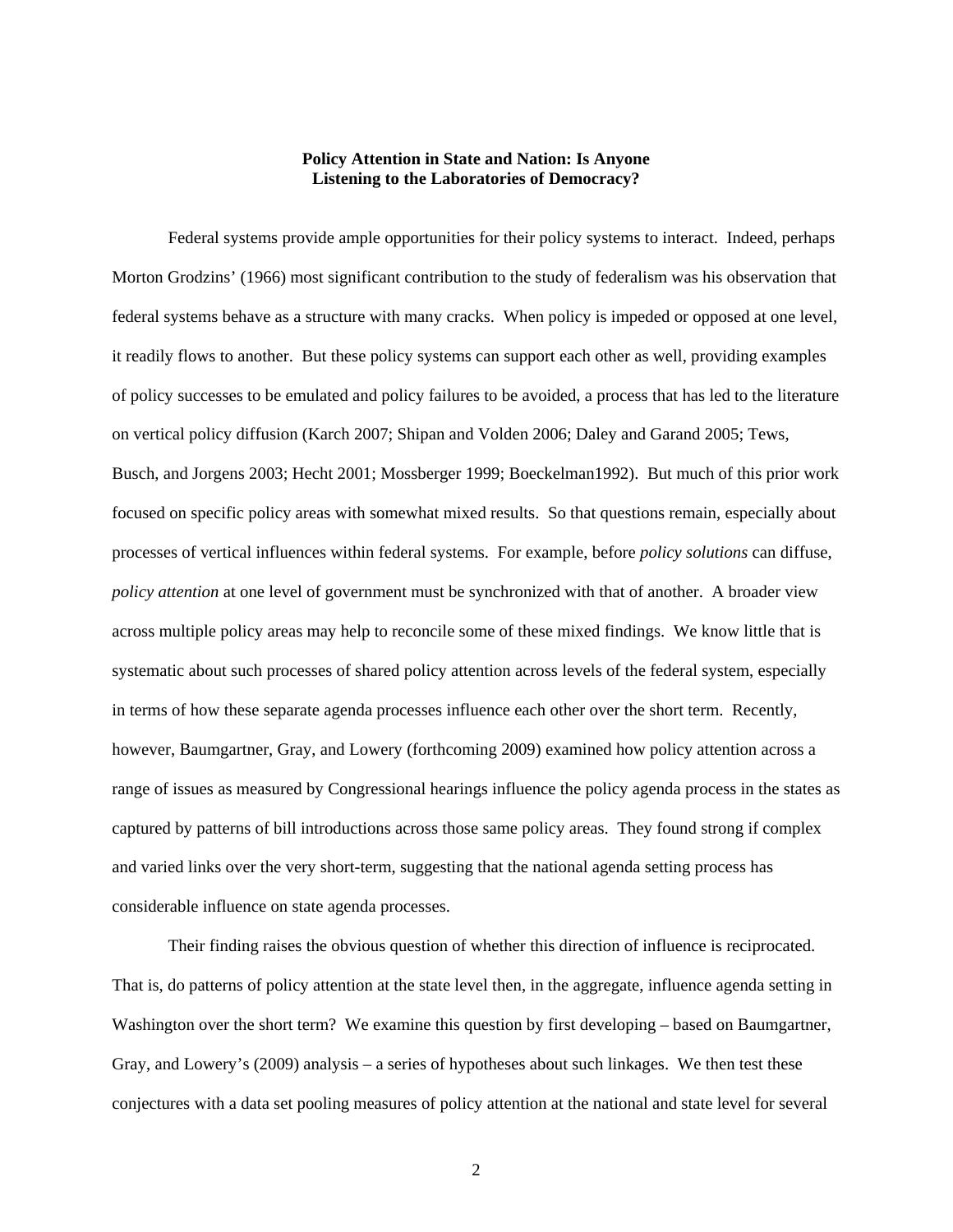## **Policy Attention in State and Nation: Is Anyone Listening to the Laboratories of Democracy?**

Federal systems provide ample opportunities for their policy systems to interact. Indeed, perhaps Morton Grodzins' (1966) most significant contribution to the study of federalism was his observation that federal systems behave as a structure with many cracks. When policy is impeded or opposed at one level, it readily flows to another. But these policy systems can support each other as well, providing examples of policy successes to be emulated and policy failures to be avoided, a process that has led to the literature on vertical policy diffusion (Karch 2007; Shipan and Volden 2006; Daley and Garand 2005; Tews, Busch, and Jorgens 2003; Hecht 2001; Mossberger 1999; Boeckelman1992). But much of this prior work focused on specific policy areas with somewhat mixed results. So that questions remain, especially about processes of vertical influences within federal systems. For example, before *policy solutions* can diffuse, *policy attention* at one level of government must be synchronized with that of another. A broader view across multiple policy areas may help to reconcile some of these mixed findings. We know little that is systematic about such processes of shared policy attention across levels of the federal system, especially in terms of how these separate agenda processes influence each other over the short term. Recently, however, Baumgartner, Gray, and Lowery (forthcoming 2009) examined how policy attention across a range of issues as measured by Congressional hearings influence the policy agenda process in the states as captured by patterns of bill introductions across those same policy areas. They found strong if complex and varied links over the very short-term, suggesting that the national agenda setting process has considerable influence on state agenda processes.

 Their finding raises the obvious question of whether this direction of influence is reciprocated. That is, do patterns of policy attention at the state level then, in the aggregate, influence agenda setting in Washington over the short term? We examine this question by first developing – based on Baumgartner, Gray, and Lowery's (2009) analysis – a series of hypotheses about such linkages. We then test these conjectures with a data set pooling measures of policy attention at the national and state level for several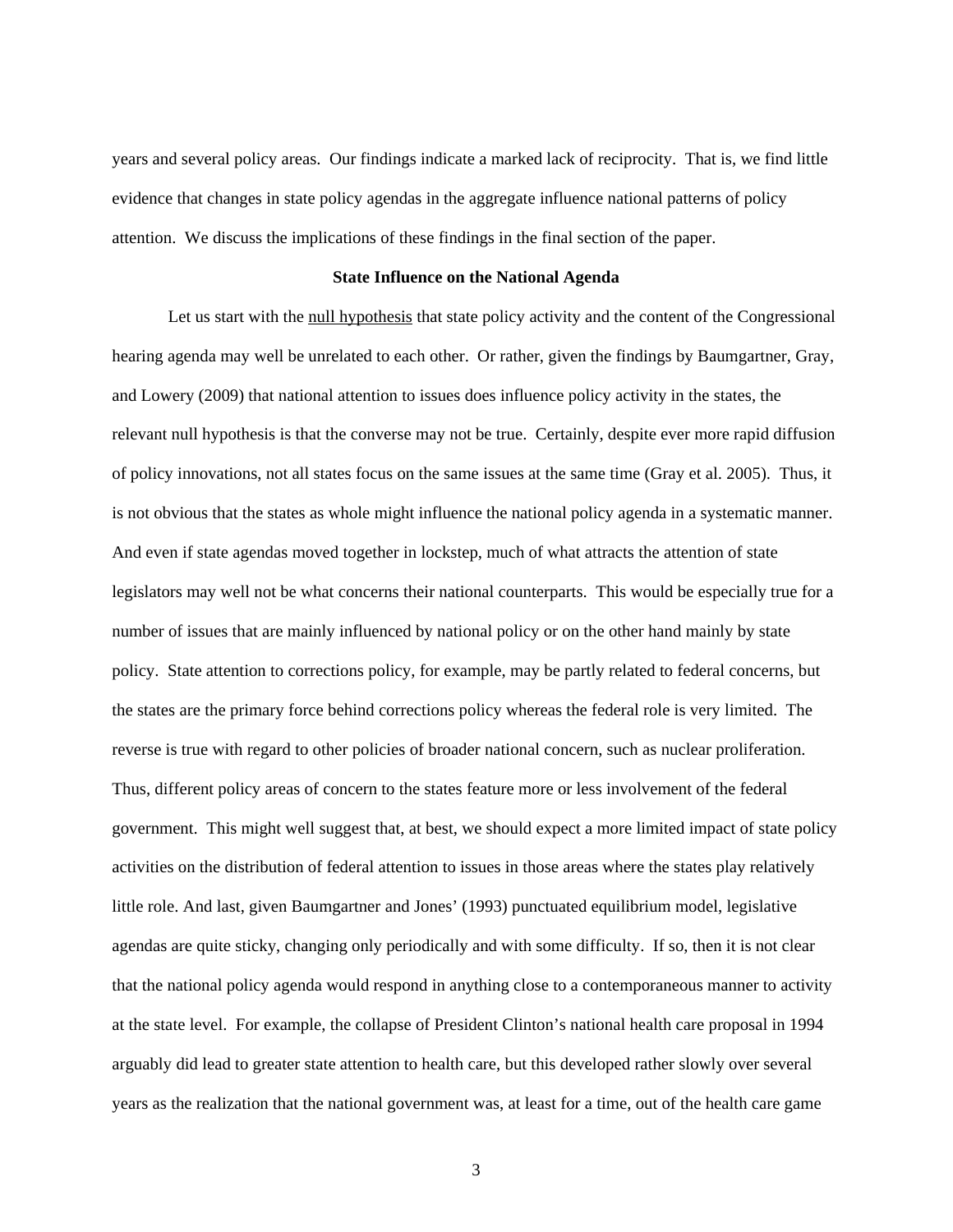years and several policy areas. Our findings indicate a marked lack of reciprocity. That is, we find little evidence that changes in state policy agendas in the aggregate influence national patterns of policy attention. We discuss the implications of these findings in the final section of the paper.

#### **State Influence on the National Agenda**

Let us start with the null hypothesis that state policy activity and the content of the Congressional hearing agenda may well be unrelated to each other. Or rather, given the findings by Baumgartner, Gray, and Lowery (2009) that national attention to issues does influence policy activity in the states, the relevant null hypothesis is that the converse may not be true. Certainly, despite ever more rapid diffusion of policy innovations, not all states focus on the same issues at the same time (Gray et al. 2005). Thus, it is not obvious that the states as whole might influence the national policy agenda in a systematic manner. And even if state agendas moved together in lockstep, much of what attracts the attention of state legislators may well not be what concerns their national counterparts. This would be especially true for a number of issues that are mainly influenced by national policy or on the other hand mainly by state policy. State attention to corrections policy, for example, may be partly related to federal concerns, but the states are the primary force behind corrections policy whereas the federal role is very limited. The reverse is true with regard to other policies of broader national concern, such as nuclear proliferation. Thus, different policy areas of concern to the states feature more or less involvement of the federal government. This might well suggest that, at best, we should expect a more limited impact of state policy activities on the distribution of federal attention to issues in those areas where the states play relatively little role. And last, given Baumgartner and Jones' (1993) punctuated equilibrium model, legislative agendas are quite sticky, changing only periodically and with some difficulty. If so, then it is not clear that the national policy agenda would respond in anything close to a contemporaneous manner to activity at the state level. For example, the collapse of President Clinton's national health care proposal in 1994 arguably did lead to greater state attention to health care, but this developed rather slowly over several years as the realization that the national government was, at least for a time, out of the health care game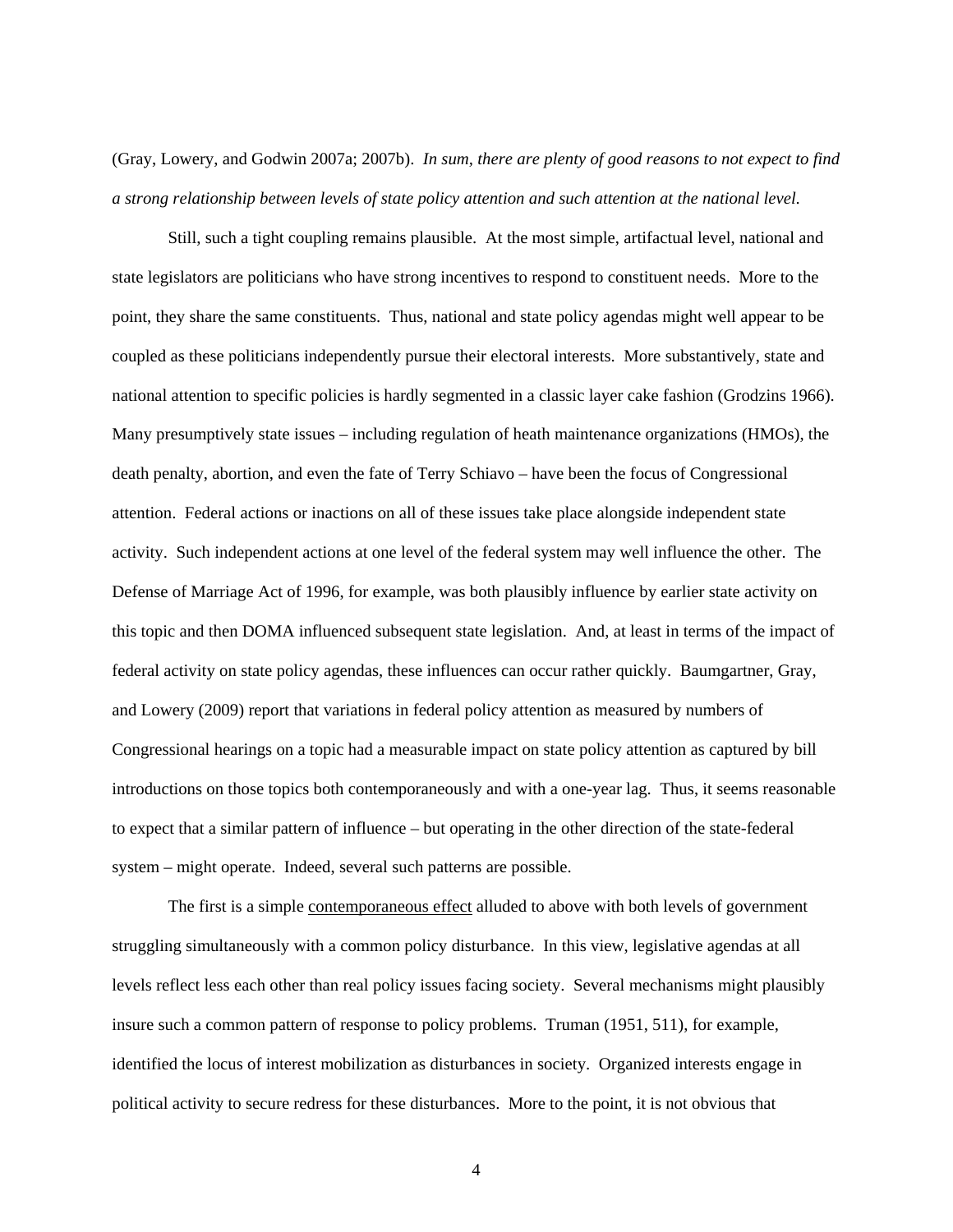(Gray, Lowery, and Godwin 2007a; 2007b). *In sum, there are plenty of good reasons to not expect to find a strong relationship between levels of state policy attention and such attention at the national level.*

Still, such a tight coupling remains plausible. At the most simple, artifactual level, national and state legislators are politicians who have strong incentives to respond to constituent needs. More to the point, they share the same constituents. Thus, national and state policy agendas might well appear to be coupled as these politicians independently pursue their electoral interests. More substantively, state and national attention to specific policies is hardly segmented in a classic layer cake fashion (Grodzins 1966). Many presumptively state issues – including regulation of heath maintenance organizations (HMOs), the death penalty, abortion, and even the fate of Terry Schiavo – have been the focus of Congressional attention. Federal actions or inactions on all of these issues take place alongside independent state activity. Such independent actions at one level of the federal system may well influence the other. The Defense of Marriage Act of 1996, for example, was both plausibly influence by earlier state activity on this topic and then DOMA influenced subsequent state legislation. And, at least in terms of the impact of federal activity on state policy agendas, these influences can occur rather quickly. Baumgartner, Gray, and Lowery (2009) report that variations in federal policy attention as measured by numbers of Congressional hearings on a topic had a measurable impact on state policy attention as captured by bill introductions on those topics both contemporaneously and with a one-year lag. Thus, it seems reasonable to expect that a similar pattern of influence – but operating in the other direction of the state-federal system – might operate. Indeed, several such patterns are possible.

The first is a simple contemporaneous effect alluded to above with both levels of government struggling simultaneously with a common policy disturbance. In this view, legislative agendas at all levels reflect less each other than real policy issues facing society. Several mechanisms might plausibly insure such a common pattern of response to policy problems. Truman (1951, 511), for example, identified the locus of interest mobilization as disturbances in society. Organized interests engage in political activity to secure redress for these disturbances. More to the point, it is not obvious that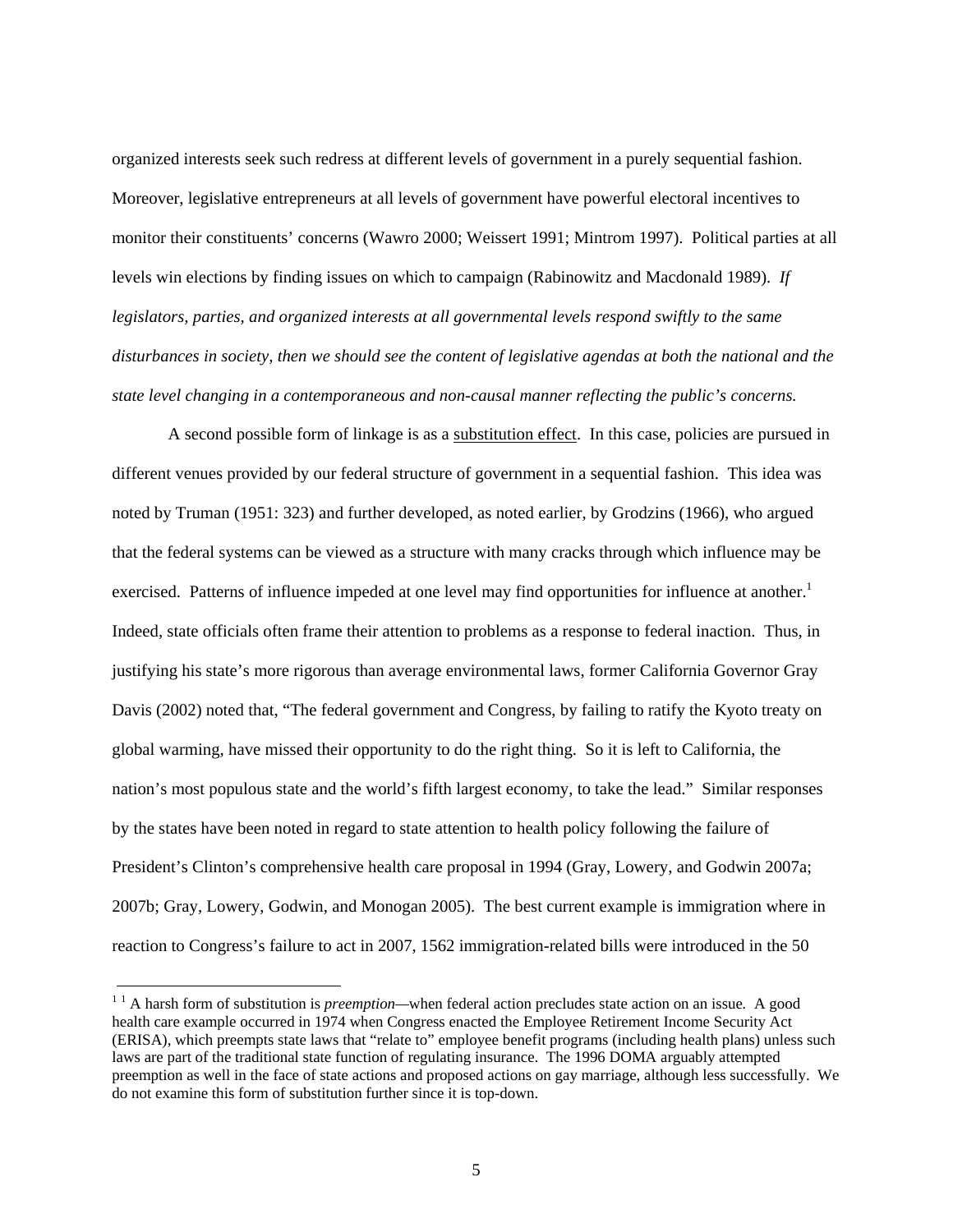organized interests seek such redress at different levels of government in a purely sequential fashion. Moreover, legislative entrepreneurs at all levels of government have powerful electoral incentives to monitor their constituents' concerns (Wawro 2000; Weissert 1991; Mintrom 1997). Political parties at all levels win elections by finding issues on which to campaign (Rabinowitz and Macdonald 1989). *If legislators, parties, and organized interests at all governmental levels respond swiftly to the same disturbances in society, then we should see the content of legislative agendas at both the national and the state level changing in a contemporaneous and non-causal manner reflecting the public's concerns.* 

A second possible form of linkage is as a substitution effect. In this case, policies are pursued in different venues provided by our federal structure of government in a sequential fashion. This idea was noted by Truman (1951: 323) and further developed, as noted earlier, by Grodzins (1966), who argued that the federal systems can be viewed as a structure with many cracks through which influence may be exercised. Patterns of influence impeded at one level may find opportunities for influence at another.<sup>1</sup> Indeed, state officials often frame their attention to problems as a response to federal inaction. Thus, in justifying his state's more rigorous than average environmental laws, former California Governor Gray Davis (2002) noted that, "The federal government and Congress, by failing to ratify the Kyoto treaty on global warming, have missed their opportunity to do the right thing. So it is left to California, the nation's most populous state and the world's fifth largest economy, to take the lead." Similar responses by the states have been noted in regard to state attention to health policy following the failure of President's Clinton's comprehensive health care proposal in 1994 (Gray, Lowery, and Godwin 2007a; 2007b; Gray, Lowery, Godwin, and Monogan 2005). The best current example is immigration where in reaction to Congress's failure to act in 2007, 1562 immigration-related bills were introduced in the 50

 1 1 A harsh form of substitution is *preemption—*when federal action precludes state action on an issue*.* A good health care example occurred in 1974 when Congress enacted the Employee Retirement Income Security Act (ERISA), which preempts state laws that "relate to" employee benefit programs (including health plans) unless such laws are part of the traditional state function of regulating insurance. The 1996 DOMA arguably attempted preemption as well in the face of state actions and proposed actions on gay marriage, although less successfully. We do not examine this form of substitution further since it is top-down.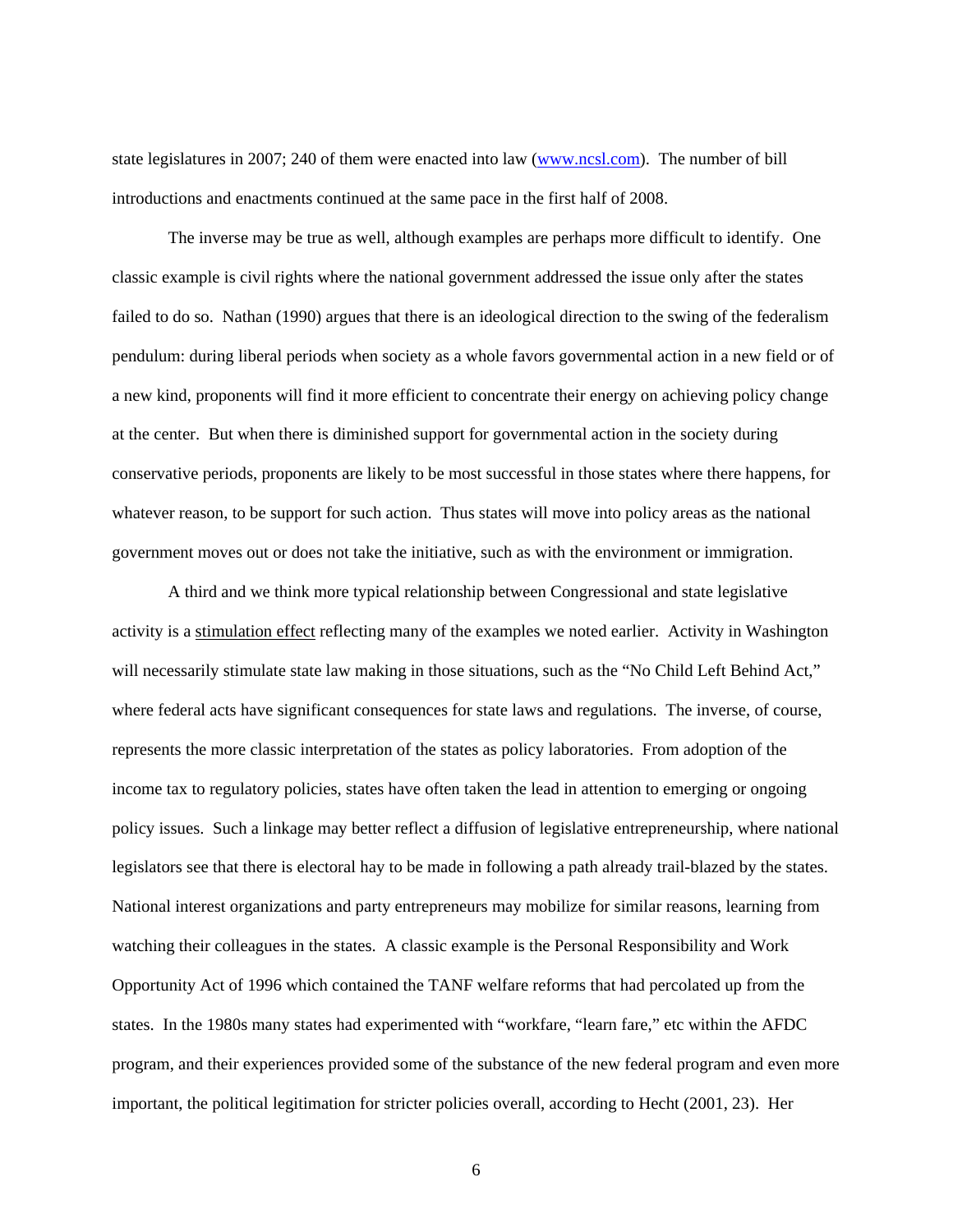state legislatures in 2007; 240 of them were enacted into law (www.ncsl.com). The number of bill introductions and enactments continued at the same pace in the first half of 2008.

The inverse may be true as well, although examples are perhaps more difficult to identify. One classic example is civil rights where the national government addressed the issue only after the states failed to do so. Nathan (1990) argues that there is an ideological direction to the swing of the federalism pendulum: during liberal periods when society as a whole favors governmental action in a new field or of a new kind, proponents will find it more efficient to concentrate their energy on achieving policy change at the center. But when there is diminished support for governmental action in the society during conservative periods, proponents are likely to be most successful in those states where there happens, for whatever reason, to be support for such action. Thus states will move into policy areas as the national government moves out or does not take the initiative, such as with the environment or immigration.

 A third and we think more typical relationship between Congressional and state legislative activity is a stimulation effect reflecting many of the examples we noted earlier. Activity in Washington will necessarily stimulate state law making in those situations, such as the "No Child Left Behind Act," where federal acts have significant consequences for state laws and regulations. The inverse, of course, represents the more classic interpretation of the states as policy laboratories. From adoption of the income tax to regulatory policies, states have often taken the lead in attention to emerging or ongoing policy issues. Such a linkage may better reflect a diffusion of legislative entrepreneurship, where national legislators see that there is electoral hay to be made in following a path already trail-blazed by the states. National interest organizations and party entrepreneurs may mobilize for similar reasons, learning from watching their colleagues in the states. A classic example is the Personal Responsibility and Work Opportunity Act of 1996 which contained the TANF welfare reforms that had percolated up from the states. In the 1980s many states had experimented with "workfare, "learn fare," etc within the AFDC program, and their experiences provided some of the substance of the new federal program and even more important, the political legitimation for stricter policies overall, according to Hecht (2001, 23). Her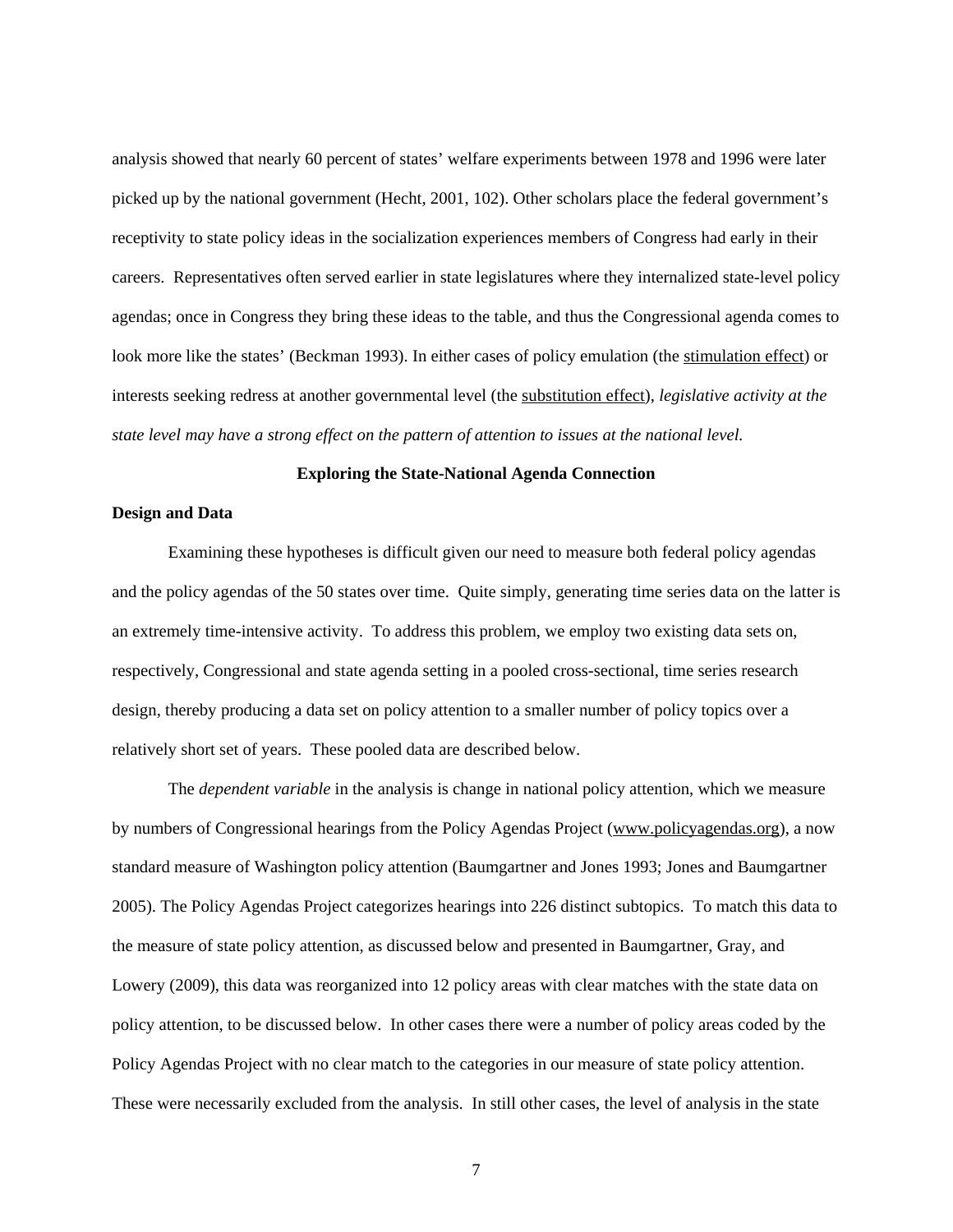analysis showed that nearly 60 percent of states' welfare experiments between 1978 and 1996 were later picked up by the national government (Hecht, 2001, 102). Other scholars place the federal government's receptivity to state policy ideas in the socialization experiences members of Congress had early in their careers. Representatives often served earlier in state legislatures where they internalized state-level policy agendas; once in Congress they bring these ideas to the table, and thus the Congressional agenda comes to look more like the states' (Beckman 1993). In either cases of policy emulation (the stimulation effect) or interests seeking redress at another governmental level (the substitution effect), *legislative activity at the state level may have a strong effect on the pattern of attention to issues at the national level.*

## **Exploring the State-National Agenda Connection**

## **Design and Data**

Examining these hypotheses is difficult given our need to measure both federal policy agendas and the policy agendas of the 50 states over time. Quite simply, generating time series data on the latter is an extremely time-intensive activity. To address this problem, we employ two existing data sets on, respectively, Congressional and state agenda setting in a pooled cross-sectional, time series research design, thereby producing a data set on policy attention to a smaller number of policy topics over a relatively short set of years. These pooled data are described below.

The *dependent variable* in the analysis is change in national policy attention, which we measure by numbers of Congressional hearings from the Policy Agendas Project (www.policyagendas.org), a now standard measure of Washington policy attention (Baumgartner and Jones 1993; Jones and Baumgartner 2005). The Policy Agendas Project categorizes hearings into 226 distinct subtopics. To match this data to the measure of state policy attention, as discussed below and presented in Baumgartner, Gray, and Lowery (2009), this data was reorganized into 12 policy areas with clear matches with the state data on policy attention, to be discussed below. In other cases there were a number of policy areas coded by the Policy Agendas Project with no clear match to the categories in our measure of state policy attention. These were necessarily excluded from the analysis. In still other cases, the level of analysis in the state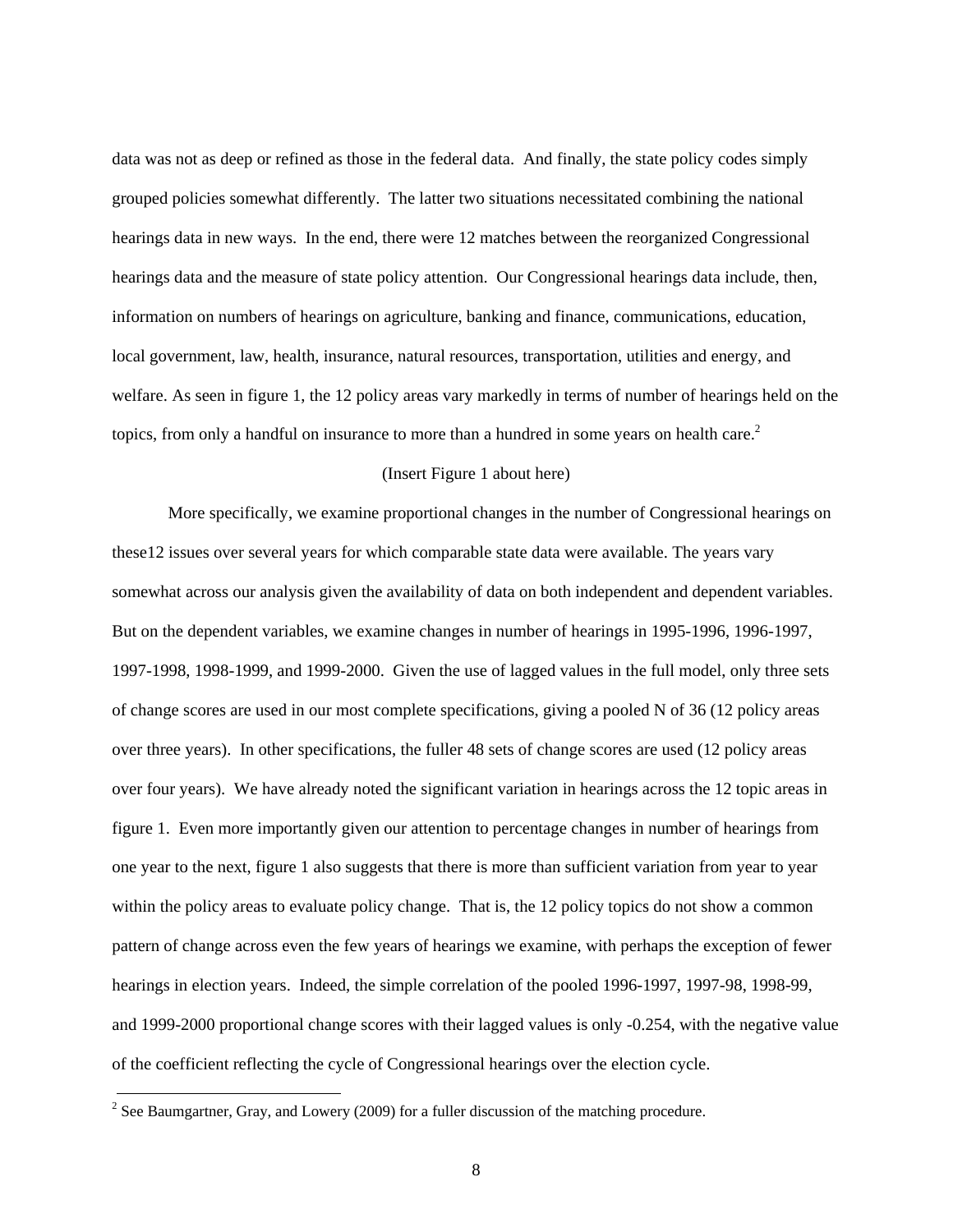data was not as deep or refined as those in the federal data. And finally, the state policy codes simply grouped policies somewhat differently. The latter two situations necessitated combining the national hearings data in new ways. In the end, there were 12 matches between the reorganized Congressional hearings data and the measure of state policy attention. Our Congressional hearings data include, then, information on numbers of hearings on agriculture, banking and finance, communications, education, local government, law, health, insurance, natural resources, transportation, utilities and energy, and welfare. As seen in figure 1, the 12 policy areas vary markedly in terms of number of hearings held on the topics, from only a handful on insurance to more than a hundred in some years on health care.<sup>2</sup>

### (Insert Figure 1 about here)

More specifically, we examine proportional changes in the number of Congressional hearings on these12 issues over several years for which comparable state data were available. The years vary somewhat across our analysis given the availability of data on both independent and dependent variables. But on the dependent variables, we examine changes in number of hearings in 1995-1996, 1996-1997, 1997-1998, 1998-1999, and 1999-2000. Given the use of lagged values in the full model, only three sets of change scores are used in our most complete specifications, giving a pooled N of 36 (12 policy areas over three years). In other specifications, the fuller 48 sets of change scores are used (12 policy areas over four years). We have already noted the significant variation in hearings across the 12 topic areas in figure 1. Even more importantly given our attention to percentage changes in number of hearings from one year to the next, figure 1 also suggests that there is more than sufficient variation from year to year within the policy areas to evaluate policy change. That is, the 12 policy topics do not show a common pattern of change across even the few years of hearings we examine, with perhaps the exception of fewer hearings in election years. Indeed, the simple correlation of the pooled 1996-1997, 1997-98, 1998-99, and 1999-2000 proportional change scores with their lagged values is only -0.254, with the negative value of the coefficient reflecting the cycle of Congressional hearings over the election cycle.

<sup>&</sup>lt;sup>2</sup> See Baumgartner, Gray, and Lowery (2009) for a fuller discussion of the matching procedure.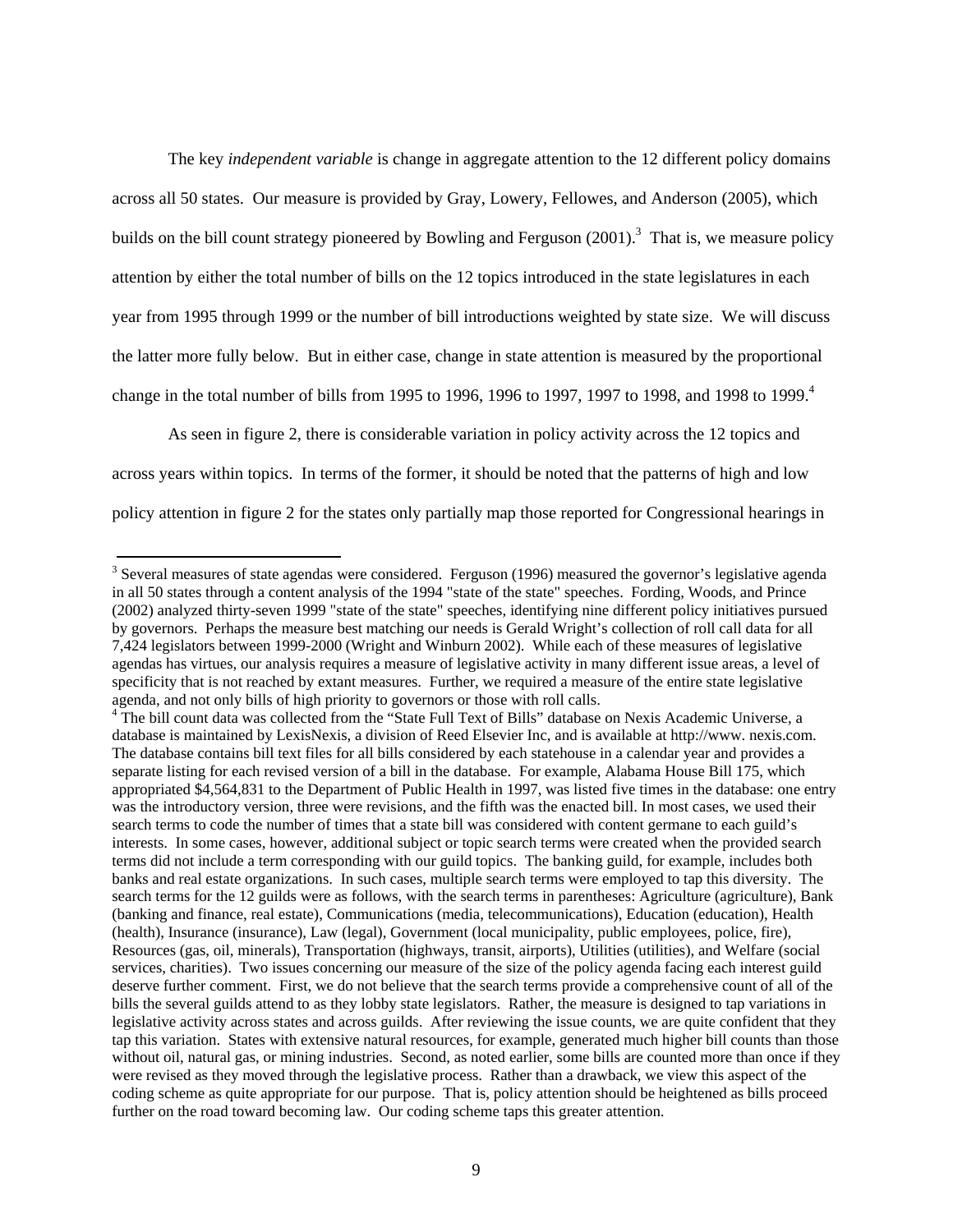The key *independent variable* is change in aggregate attention to the 12 different policy domains across all 50 states. Our measure is provided by Gray, Lowery, Fellowes, and Anderson (2005), which builds on the bill count strategy pioneered by Bowling and Ferguson  $(2001)$ .<sup>3</sup> That is, we measure policy attention by either the total number of bills on the 12 topics introduced in the state legislatures in each year from 1995 through 1999 or the number of bill introductions weighted by state size. We will discuss the latter more fully below. But in either case, change in state attention is measured by the proportional change in the total number of bills from 1995 to 1996, 1996 to 1997, 1997 to 1998, and 1998 to 1999.<sup>4</sup>

As seen in figure 2, there is considerable variation in policy activity across the 12 topics and across years within topics. In terms of the former, it should be noted that the patterns of high and low policy attention in figure 2 for the states only partially map those reported for Congressional hearings in

 $3$  Several measures of state agendas were considered. Ferguson (1996) measured the governor's legislative agenda in all 50 states through a content analysis of the 1994 "state of the state" speeches. Fording, Woods, and Prince (2002) analyzed thirty-seven 1999 "state of the state" speeches, identifying nine different policy initiatives pursued by governors. Perhaps the measure best matching our needs is Gerald Wright's collection of roll call data for all 7,424 legislators between 1999-2000 (Wright and Winburn 2002). While each of these measures of legislative agendas has virtues, our analysis requires a measure of legislative activity in many different issue areas, a level of specificity that is not reached by extant measures. Further, we required a measure of the entire state legislative agenda, and not only bills of high priority to governors or those with roll calls.

<sup>&</sup>lt;sup>4</sup> The bill count data was collected from the "State Full Text of Bills" database on Nexis Academic Universe, a database is maintained by LexisNexis, a division of Reed Elsevier Inc, and is available at http://www. nexis.com. The database contains bill text files for all bills considered by each statehouse in a calendar year and provides a separate listing for each revised version of a bill in the database. For example, Alabama House Bill 175, which appropriated \$4,564,831 to the Department of Public Health in 1997, was listed five times in the database: one entry was the introductory version, three were revisions, and the fifth was the enacted bill. In most cases, we used their search terms to code the number of times that a state bill was considered with content germane to each guild's interests. In some cases, however, additional subject or topic search terms were created when the provided search terms did not include a term corresponding with our guild topics. The banking guild, for example, includes both banks and real estate organizations. In such cases, multiple search terms were employed to tap this diversity. The search terms for the 12 guilds were as follows, with the search terms in parentheses: Agriculture (agriculture), Bank (banking and finance, real estate), Communications (media, telecommunications), Education (education), Health (health), Insurance (insurance), Law (legal), Government (local municipality, public employees, police, fire), Resources (gas, oil, minerals), Transportation (highways, transit, airports), Utilities (utilities), and Welfare (social services, charities). Two issues concerning our measure of the size of the policy agenda facing each interest guild deserve further comment. First, we do not believe that the search terms provide a comprehensive count of all of the bills the several guilds attend to as they lobby state legislators. Rather, the measure is designed to tap variations in legislative activity across states and across guilds. After reviewing the issue counts, we are quite confident that they tap this variation. States with extensive natural resources, for example, generated much higher bill counts than those without oil, natural gas, or mining industries. Second, as noted earlier, some bills are counted more than once if they were revised as they moved through the legislative process. Rather than a drawback, we view this aspect of the coding scheme as quite appropriate for our purpose. That is, policy attention should be heightened as bills proceed further on the road toward becoming law. Our coding scheme taps this greater attention.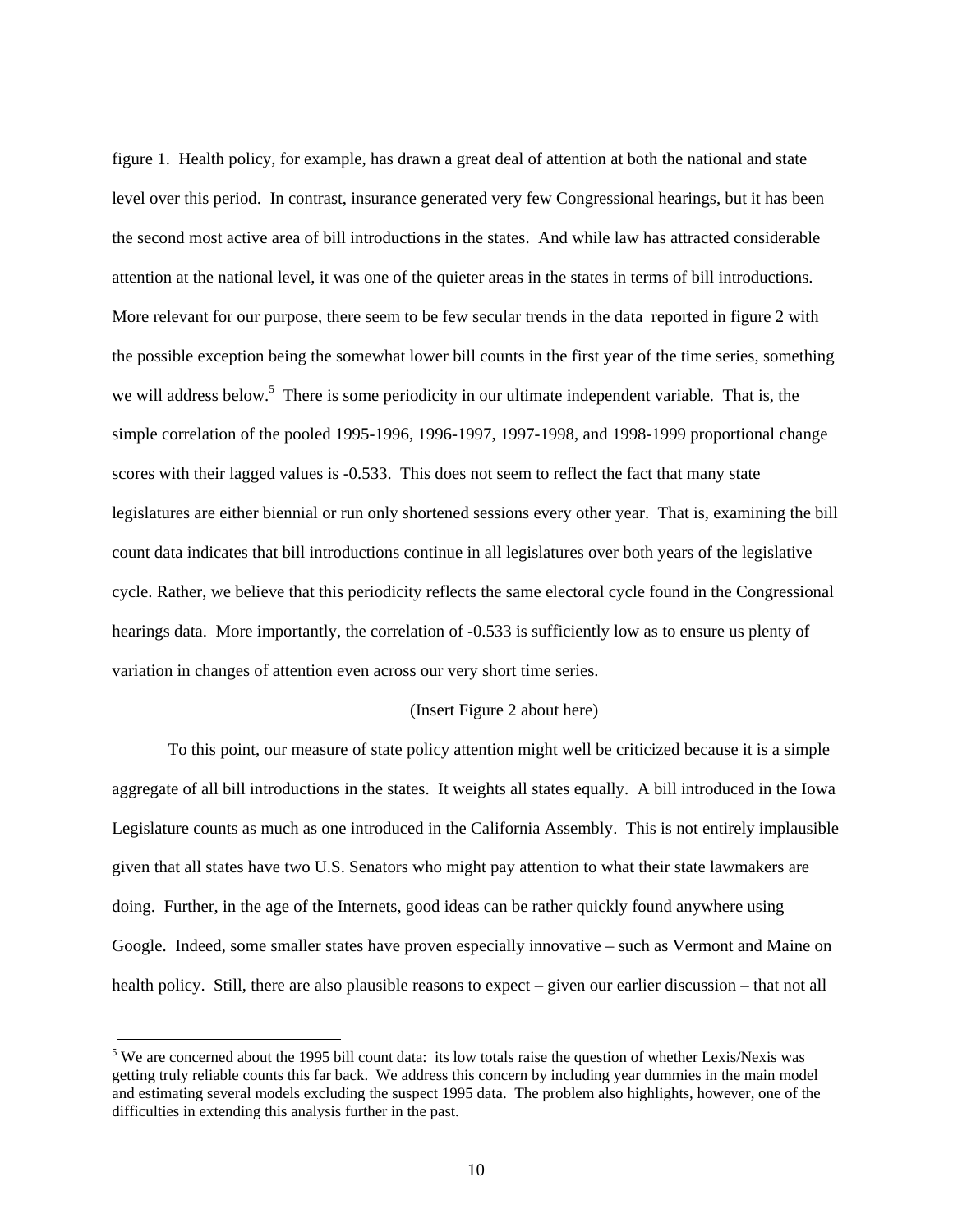figure 1. Health policy, for example, has drawn a great deal of attention at both the national and state level over this period. In contrast, insurance generated very few Congressional hearings, but it has been the second most active area of bill introductions in the states. And while law has attracted considerable attention at the national level, it was one of the quieter areas in the states in terms of bill introductions. More relevant for our purpose, there seem to be few secular trends in the data reported in figure 2 with the possible exception being the somewhat lower bill counts in the first year of the time series, something we will address below.<sup>5</sup> There is some periodicity in our ultimate independent variable. That is, the simple correlation of the pooled 1995-1996, 1996-1997, 1997-1998, and 1998-1999 proportional change scores with their lagged values is -0.533. This does not seem to reflect the fact that many state legislatures are either biennial or run only shortened sessions every other year. That is, examining the bill count data indicates that bill introductions continue in all legislatures over both years of the legislative cycle. Rather, we believe that this periodicity reflects the same electoral cycle found in the Congressional hearings data. More importantly, the correlation of -0.533 is sufficiently low as to ensure us plenty of variation in changes of attention even across our very short time series.

## (Insert Figure 2 about here)

To this point, our measure of state policy attention might well be criticized because it is a simple aggregate of all bill introductions in the states. It weights all states equally. A bill introduced in the Iowa Legislature counts as much as one introduced in the California Assembly. This is not entirely implausible given that all states have two U.S. Senators who might pay attention to what their state lawmakers are doing. Further, in the age of the Internets, good ideas can be rather quickly found anywhere using Google. Indeed, some smaller states have proven especially innovative – such as Vermont and Maine on health policy. Still, there are also plausible reasons to expect – given our earlier discussion – that not all

 $<sup>5</sup>$  We are concerned about the 1995 bill count data: its low totals raise the question of whether Lexis/Nexis was</sup> getting truly reliable counts this far back. We address this concern by including year dummies in the main model and estimating several models excluding the suspect 1995 data. The problem also highlights, however, one of the difficulties in extending this analysis further in the past.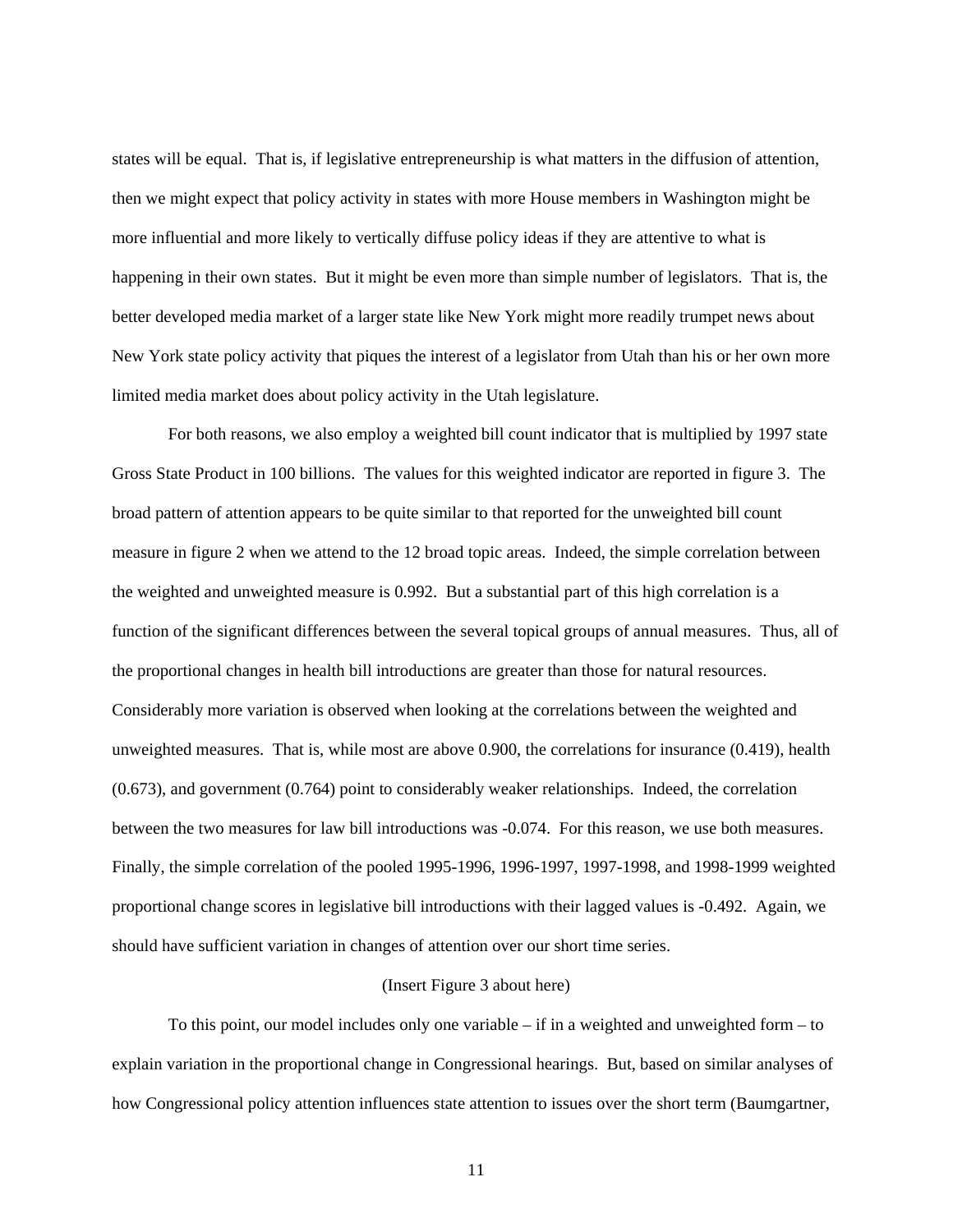states will be equal. That is, if legislative entrepreneurship is what matters in the diffusion of attention, then we might expect that policy activity in states with more House members in Washington might be more influential and more likely to vertically diffuse policy ideas if they are attentive to what is happening in their own states. But it might be even more than simple number of legislators. That is, the better developed media market of a larger state like New York might more readily trumpet news about New York state policy activity that piques the interest of a legislator from Utah than his or her own more limited media market does about policy activity in the Utah legislature.

For both reasons, we also employ a weighted bill count indicator that is multiplied by 1997 state Gross State Product in 100 billions. The values for this weighted indicator are reported in figure 3. The broad pattern of attention appears to be quite similar to that reported for the unweighted bill count measure in figure 2 when we attend to the 12 broad topic areas. Indeed, the simple correlation between the weighted and unweighted measure is 0.992. But a substantial part of this high correlation is a function of the significant differences between the several topical groups of annual measures. Thus, all of the proportional changes in health bill introductions are greater than those for natural resources. Considerably more variation is observed when looking at the correlations between the weighted and unweighted measures. That is, while most are above 0.900, the correlations for insurance (0.419), health (0.673), and government (0.764) point to considerably weaker relationships. Indeed, the correlation between the two measures for law bill introductions was -0.074. For this reason, we use both measures. Finally, the simple correlation of the pooled 1995-1996, 1996-1997, 1997-1998, and 1998-1999 weighted proportional change scores in legislative bill introductions with their lagged values is -0.492. Again, we should have sufficient variation in changes of attention over our short time series.

#### (Insert Figure 3 about here)

To this point, our model includes only one variable – if in a weighted and unweighted form – to explain variation in the proportional change in Congressional hearings. But, based on similar analyses of how Congressional policy attention influences state attention to issues over the short term (Baumgartner,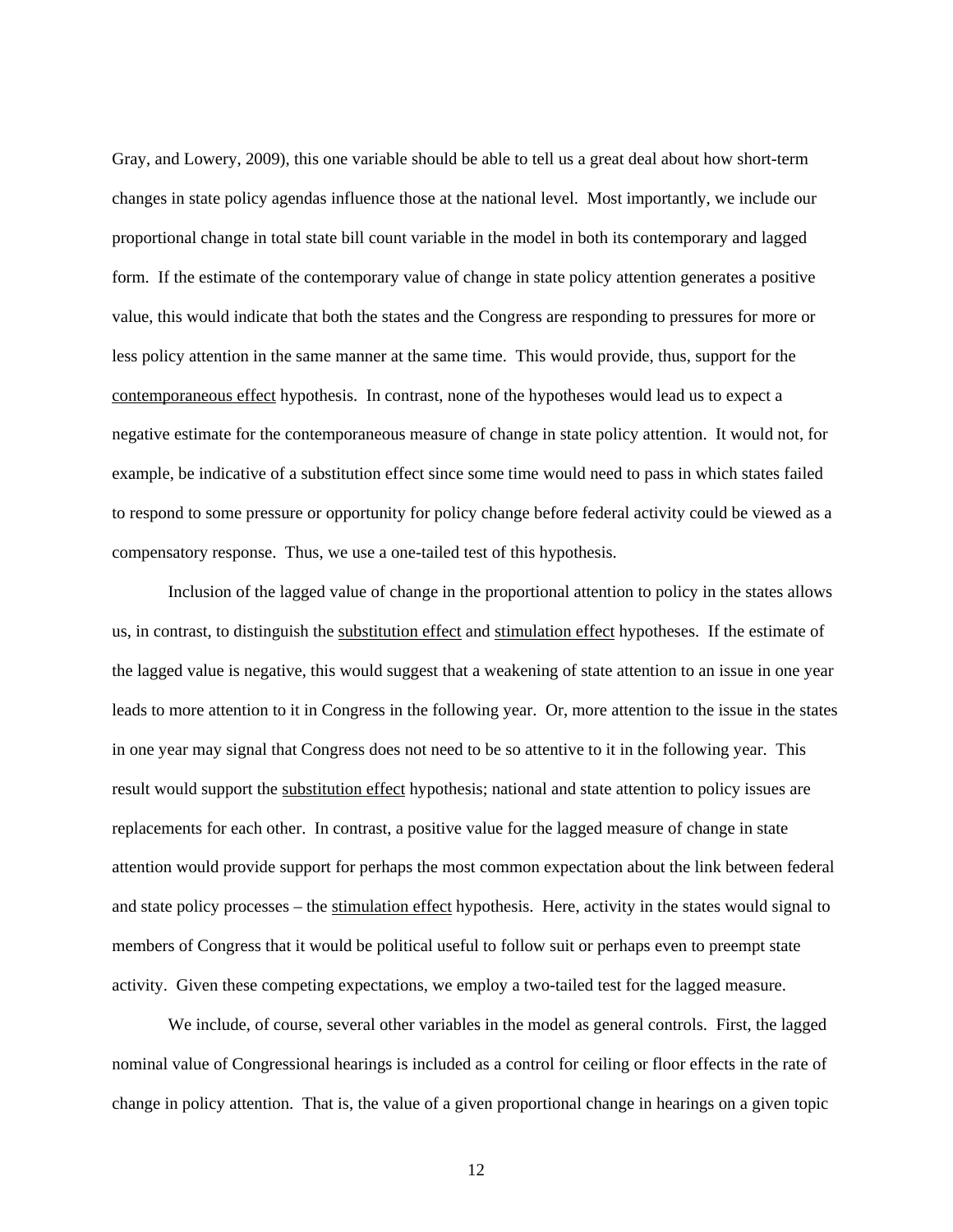Gray, and Lowery, 2009), this one variable should be able to tell us a great deal about how short-term changes in state policy agendas influence those at the national level. Most importantly, we include our proportional change in total state bill count variable in the model in both its contemporary and lagged form. If the estimate of the contemporary value of change in state policy attention generates a positive value, this would indicate that both the states and the Congress are responding to pressures for more or less policy attention in the same manner at the same time. This would provide, thus, support for the contemporaneous effect hypothesis. In contrast, none of the hypotheses would lead us to expect a negative estimate for the contemporaneous measure of change in state policy attention. It would not, for example, be indicative of a substitution effect since some time would need to pass in which states failed to respond to some pressure or opportunity for policy change before federal activity could be viewed as a compensatory response. Thus, we use a one-tailed test of this hypothesis.

Inclusion of the lagged value of change in the proportional attention to policy in the states allows us, in contrast, to distinguish the substitution effect and stimulation effect hypotheses. If the estimate of the lagged value is negative, this would suggest that a weakening of state attention to an issue in one year leads to more attention to it in Congress in the following year. Or, more attention to the issue in the states in one year may signal that Congress does not need to be so attentive to it in the following year. This result would support the substitution effect hypothesis; national and state attention to policy issues are replacements for each other. In contrast, a positive value for the lagged measure of change in state attention would provide support for perhaps the most common expectation about the link between federal and state policy processes – the stimulation effect hypothesis. Here, activity in the states would signal to members of Congress that it would be political useful to follow suit or perhaps even to preempt state activity. Given these competing expectations, we employ a two-tailed test for the lagged measure.

We include, of course, several other variables in the model as general controls. First, the lagged nominal value of Congressional hearings is included as a control for ceiling or floor effects in the rate of change in policy attention. That is, the value of a given proportional change in hearings on a given topic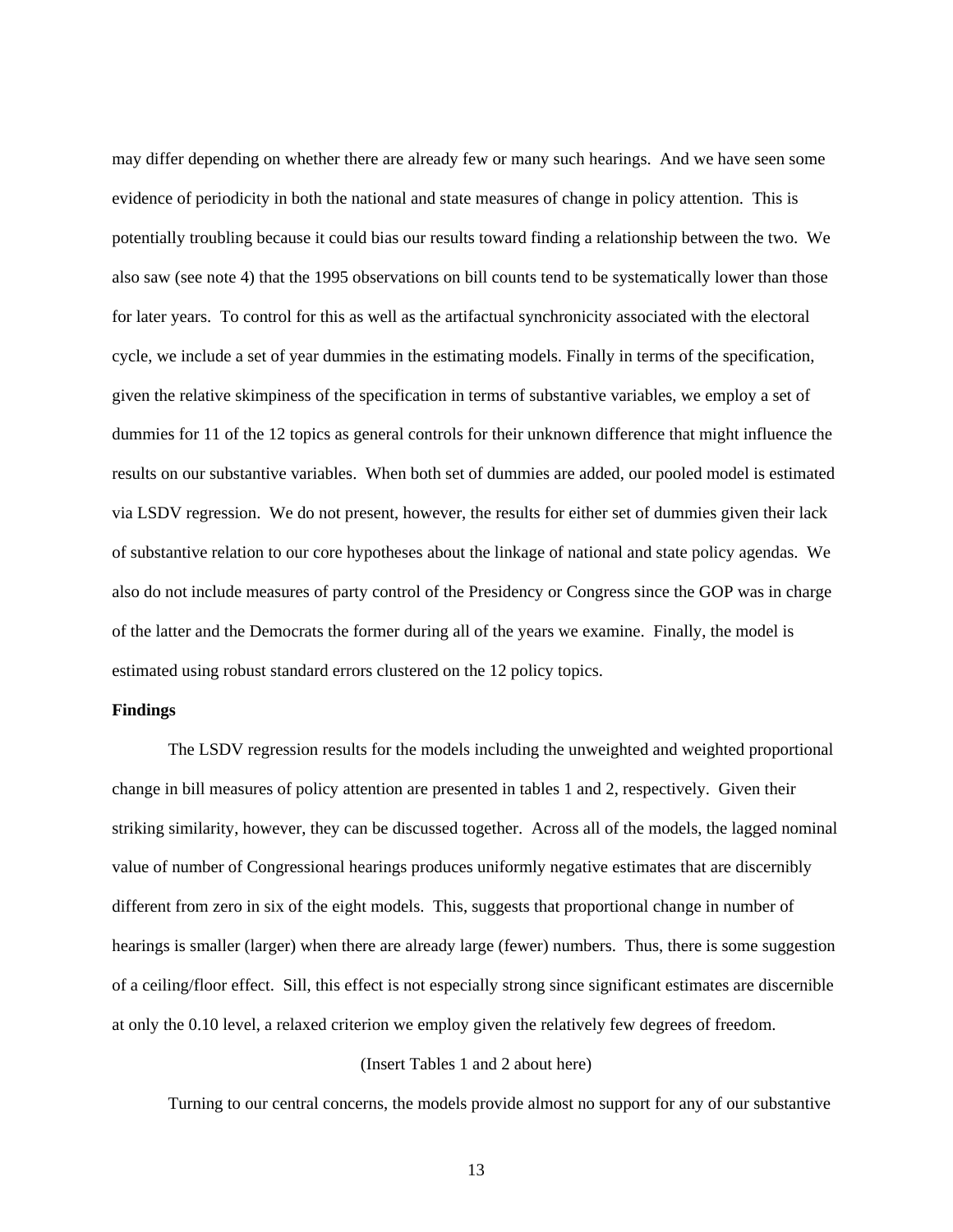may differ depending on whether there are already few or many such hearings. And we have seen some evidence of periodicity in both the national and state measures of change in policy attention. This is potentially troubling because it could bias our results toward finding a relationship between the two. We also saw (see note 4) that the 1995 observations on bill counts tend to be systematically lower than those for later years. To control for this as well as the artifactual synchronicity associated with the electoral cycle, we include a set of year dummies in the estimating models. Finally in terms of the specification, given the relative skimpiness of the specification in terms of substantive variables, we employ a set of dummies for 11 of the 12 topics as general controls for their unknown difference that might influence the results on our substantive variables. When both set of dummies are added, our pooled model is estimated via LSDV regression. We do not present, however, the results for either set of dummies given their lack of substantive relation to our core hypotheses about the linkage of national and state policy agendas. We also do not include measures of party control of the Presidency or Congress since the GOP was in charge of the latter and the Democrats the former during all of the years we examine. Finally, the model is estimated using robust standard errors clustered on the 12 policy topics.

## **Findings**

 The LSDV regression results for the models including the unweighted and weighted proportional change in bill measures of policy attention are presented in tables 1 and 2, respectively. Given their striking similarity, however, they can be discussed together. Across all of the models, the lagged nominal value of number of Congressional hearings produces uniformly negative estimates that are discernibly different from zero in six of the eight models. This, suggests that proportional change in number of hearings is smaller (larger) when there are already large (fewer) numbers. Thus, there is some suggestion of a ceiling/floor effect. Sill, this effect is not especially strong since significant estimates are discernible at only the 0.10 level, a relaxed criterion we employ given the relatively few degrees of freedom.

#### (Insert Tables 1 and 2 about here)

Turning to our central concerns, the models provide almost no support for any of our substantive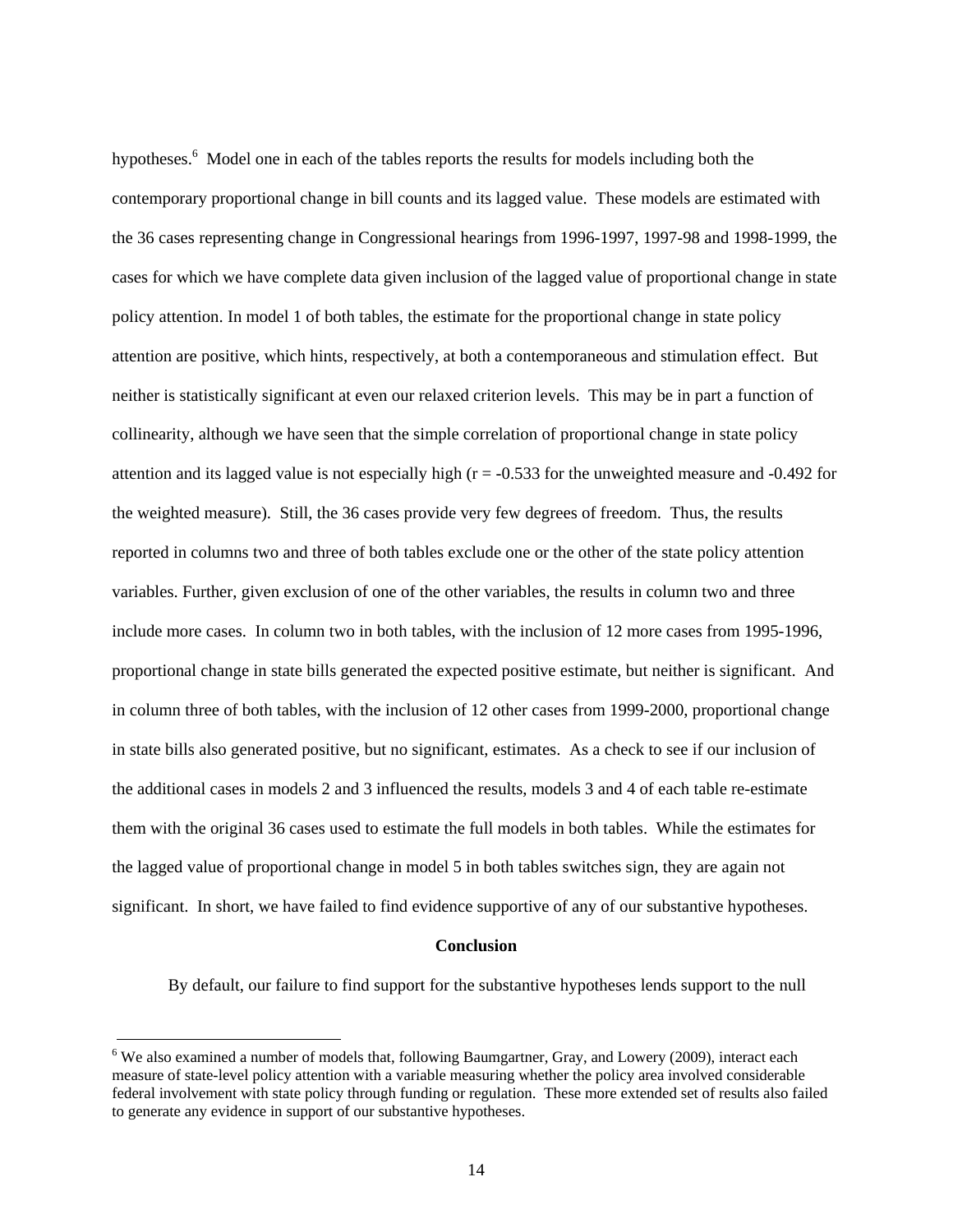hypotheses.<sup>6</sup> Model one in each of the tables reports the results for models including both the contemporary proportional change in bill counts and its lagged value. These models are estimated with the 36 cases representing change in Congressional hearings from 1996-1997, 1997-98 and 1998-1999, the cases for which we have complete data given inclusion of the lagged value of proportional change in state policy attention. In model 1 of both tables, the estimate for the proportional change in state policy attention are positive, which hints, respectively, at both a contemporaneous and stimulation effect. But neither is statistically significant at even our relaxed criterion levels. This may be in part a function of collinearity, although we have seen that the simple correlation of proportional change in state policy attention and its lagged value is not especially high  $(r = -0.533$  for the unweighted measure and  $-0.492$  for the weighted measure). Still, the 36 cases provide very few degrees of freedom. Thus, the results reported in columns two and three of both tables exclude one or the other of the state policy attention variables. Further, given exclusion of one of the other variables, the results in column two and three include more cases. In column two in both tables, with the inclusion of 12 more cases from 1995-1996, proportional change in state bills generated the expected positive estimate, but neither is significant. And in column three of both tables, with the inclusion of 12 other cases from 1999-2000, proportional change in state bills also generated positive, but no significant, estimates. As a check to see if our inclusion of the additional cases in models 2 and 3 influenced the results, models 3 and 4 of each table re-estimate them with the original 36 cases used to estimate the full models in both tables. While the estimates for the lagged value of proportional change in model 5 in both tables switches sign, they are again not significant. In short, we have failed to find evidence supportive of any of our substantive hypotheses.

#### **Conclusion**

By default, our failure to find support for the substantive hypotheses lends support to the null

 $6$  We also examined a number of models that, following Baumgartner, Gray, and Lowery (2009), interact each measure of state-level policy attention with a variable measuring whether the policy area involved considerable federal involvement with state policy through funding or regulation. These more extended set of results also failed to generate any evidence in support of our substantive hypotheses.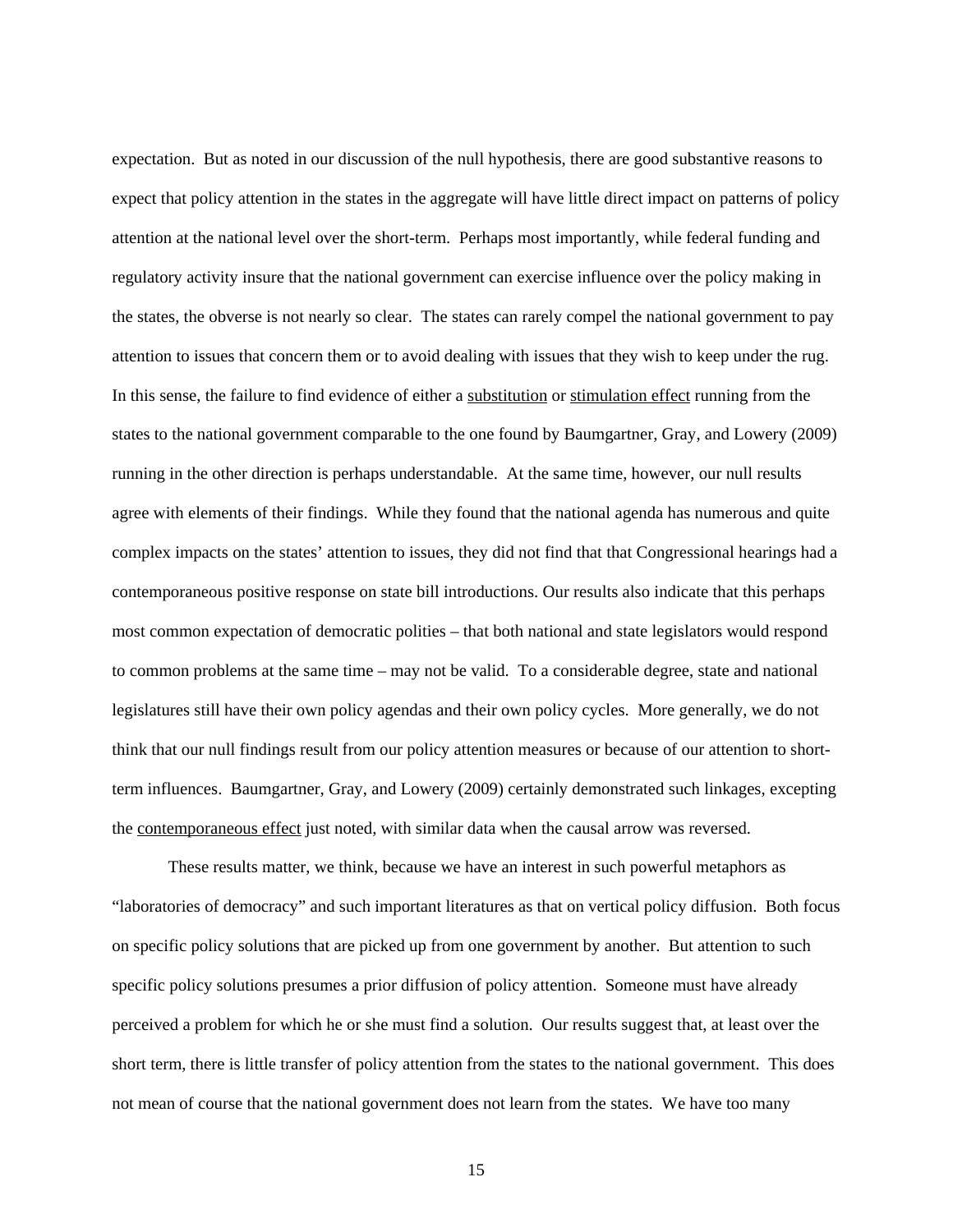expectation. But as noted in our discussion of the null hypothesis, there are good substantive reasons to expect that policy attention in the states in the aggregate will have little direct impact on patterns of policy attention at the national level over the short-term. Perhaps most importantly, while federal funding and regulatory activity insure that the national government can exercise influence over the policy making in the states, the obverse is not nearly so clear. The states can rarely compel the national government to pay attention to issues that concern them or to avoid dealing with issues that they wish to keep under the rug. In this sense, the failure to find evidence of either a substitution or stimulation effect running from the states to the national government comparable to the one found by Baumgartner, Gray, and Lowery (2009) running in the other direction is perhaps understandable. At the same time, however, our null results agree with elements of their findings. While they found that the national agenda has numerous and quite complex impacts on the states' attention to issues, they did not find that that Congressional hearings had a contemporaneous positive response on state bill introductions. Our results also indicate that this perhaps most common expectation of democratic polities – that both national and state legislators would respond to common problems at the same time – may not be valid. To a considerable degree, state and national legislatures still have their own policy agendas and their own policy cycles. More generally, we do not think that our null findings result from our policy attention measures or because of our attention to shortterm influences. Baumgartner, Gray, and Lowery (2009) certainly demonstrated such linkages, excepting the contemporaneous effect just noted, with similar data when the causal arrow was reversed.

 These results matter, we think, because we have an interest in such powerful metaphors as "laboratories of democracy" and such important literatures as that on vertical policy diffusion. Both focus on specific policy solutions that are picked up from one government by another. But attention to such specific policy solutions presumes a prior diffusion of policy attention. Someone must have already perceived a problem for which he or she must find a solution. Our results suggest that, at least over the short term, there is little transfer of policy attention from the states to the national government. This does not mean of course that the national government does not learn from the states. We have too many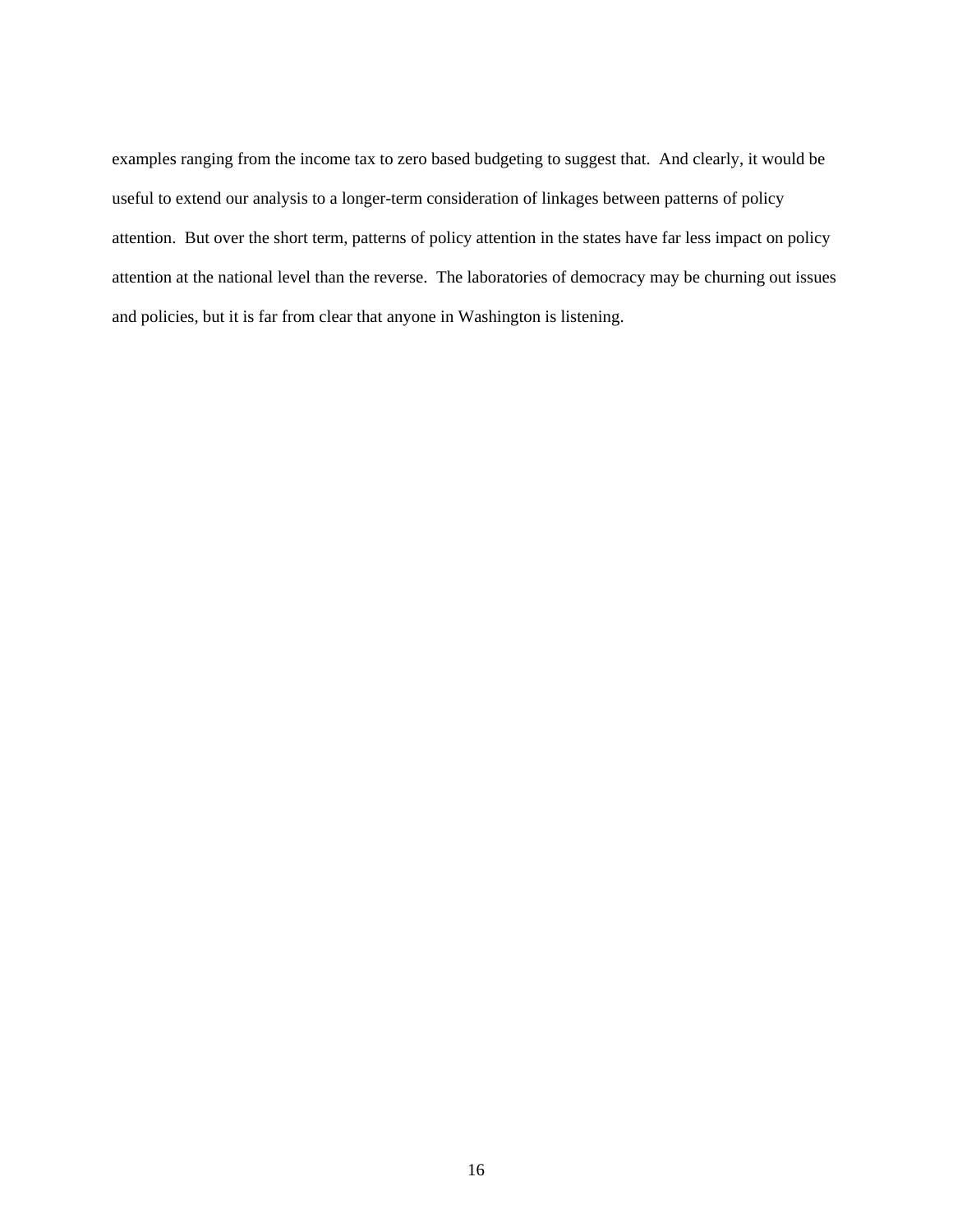examples ranging from the income tax to zero based budgeting to suggest that. And clearly, it would be useful to extend our analysis to a longer-term consideration of linkages between patterns of policy attention. But over the short term, patterns of policy attention in the states have far less impact on policy attention at the national level than the reverse. The laboratories of democracy may be churning out issues and policies, but it is far from clear that anyone in Washington is listening.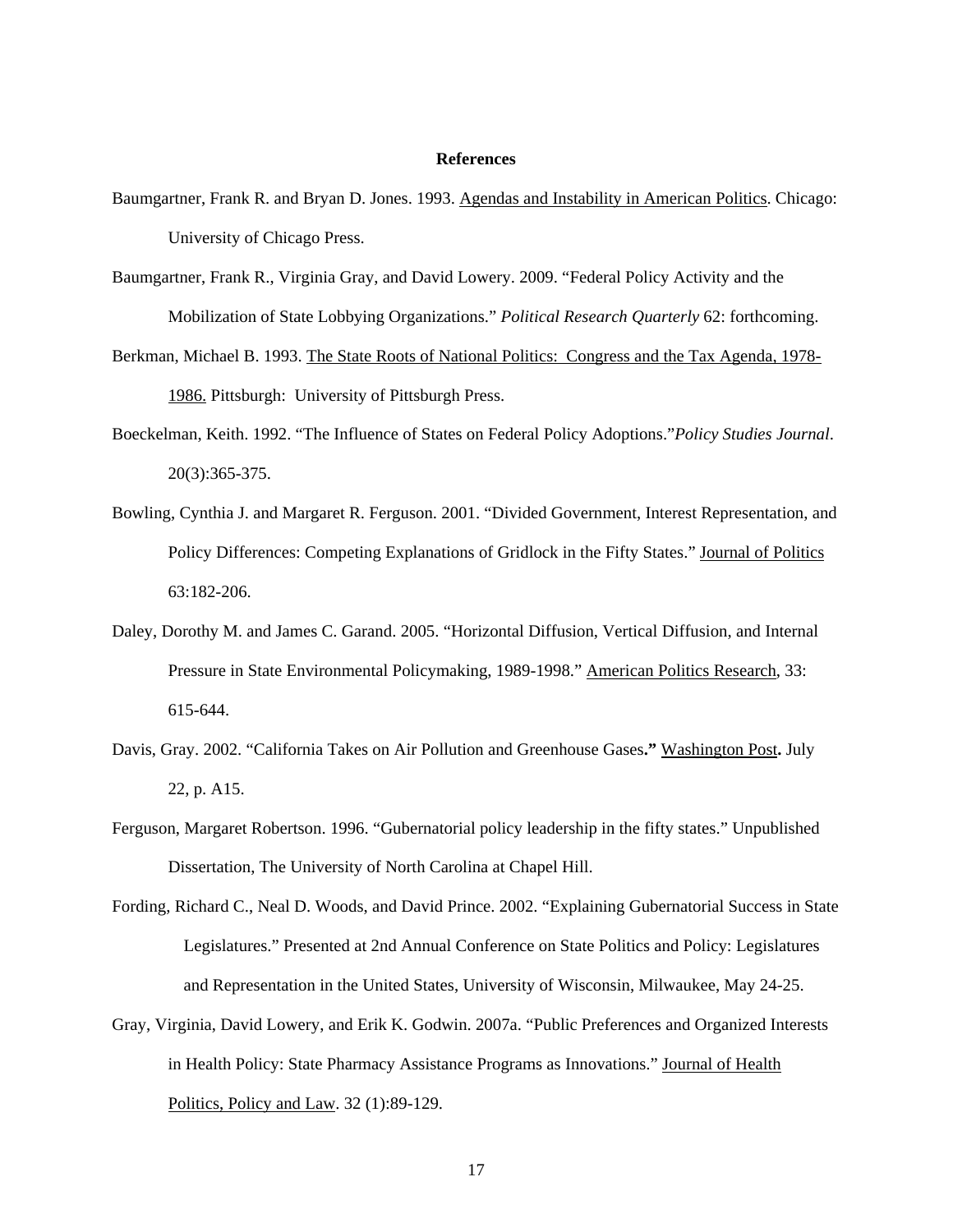#### **References**

- Baumgartner, Frank R. and Bryan D. Jones. 1993. Agendas and Instability in American Politics. Chicago: University of Chicago Press.
- Baumgartner, Frank R., Virginia Gray, and David Lowery. 2009. "Federal Policy Activity and the Mobilization of State Lobbying Organizations." *Political Research Quarterly* 62: forthcoming.
- Berkman, Michael B. 1993. The State Roots of National Politics: Congress and the Tax Agenda, 1978- 1986. Pittsburgh: University of Pittsburgh Press.
- Boeckelman, Keith. 1992. "The Influence of States on Federal Policy Adoptions."*Policy Studies Journal*. 20(3):365-375.
- Bowling, Cynthia J. and Margaret R. Ferguson. 2001. "Divided Government, Interest Representation, and Policy Differences: Competing Explanations of Gridlock in the Fifty States." Journal of Politics 63:182-206.
- Daley, Dorothy M. and James C. Garand. 2005. "Horizontal Diffusion, Vertical Diffusion, and Internal Pressure in State Environmental Policymaking, 1989-1998." American Politics Research, 33: 615-644.
- Davis, Gray. 2002. "California Takes on Air Pollution and Greenhouse Gases**."** Washington Post**.** July 22, p. A15.
- Ferguson, Margaret Robertson. 1996. "Gubernatorial policy leadership in the fifty states." Unpublished Dissertation, The University of North Carolina at Chapel Hill.

Fording, Richard C., Neal D. Woods, and David Prince. 2002. "Explaining Gubernatorial Success in State Legislatures." Presented at 2nd Annual Conference on State Politics and Policy: Legislatures and Representation in the United States, University of Wisconsin, Milwaukee, May 24-25.

Gray, Virginia, David Lowery, and Erik K. Godwin. 2007a. "Public Preferences and Organized Interests in Health Policy: State Pharmacy Assistance Programs as Innovations." Journal of Health Politics, Policy and Law. 32 (1):89-129.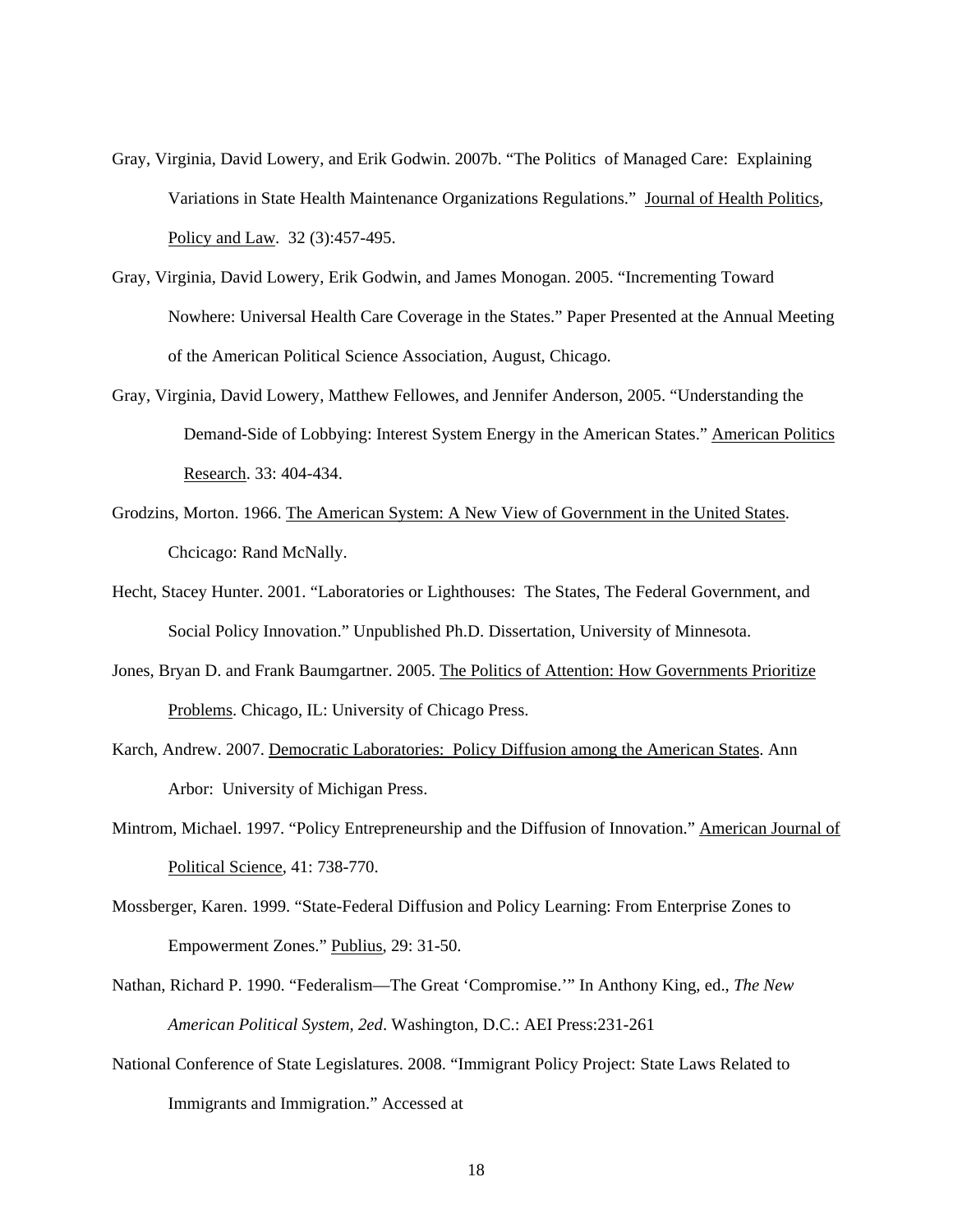- Gray, Virginia, David Lowery, and Erik Godwin. 2007b. "The Politics of Managed Care: Explaining Variations in State Health Maintenance Organizations Regulations." Journal of Health Politics, Policy and Law. 32 (3):457-495.
- Gray, Virginia, David Lowery, Erik Godwin, and James Monogan. 2005. "Incrementing Toward Nowhere: Universal Health Care Coverage in the States." Paper Presented at the Annual Meeting of the American Political Science Association, August, Chicago.
- Gray, Virginia, David Lowery, Matthew Fellowes, and Jennifer Anderson, 2005. "Understanding the Demand-Side of Lobbying: Interest System Energy in the American States." American Politics Research. 33: 404-434.
- Grodzins, Morton. 1966. The American System: A New View of Government in the United States. Chcicago: Rand McNally.
- Hecht, Stacey Hunter. 2001. "Laboratories or Lighthouses: The States, The Federal Government, and Social Policy Innovation." Unpublished Ph.D. Dissertation, University of Minnesota.
- Jones, Bryan D. and Frank Baumgartner. 2005. The Politics of Attention: How Governments Prioritize Problems. Chicago, IL: University of Chicago Press.
- Karch, Andrew. 2007. Democratic Laboratories: Policy Diffusion among the American States. Ann Arbor: University of Michigan Press.
- Mintrom, Michael. 1997. "Policy Entrepreneurship and the Diffusion of Innovation." American Journal of Political Science, 41: 738-770.
- Mossberger, Karen. 1999. "State-Federal Diffusion and Policy Learning: From Enterprise Zones to Empowerment Zones." Publius, 29: 31-50.
- Nathan, Richard P. 1990. "Federalism—The Great 'Compromise.'" In Anthony King, ed., *The New American Political System, 2ed*. Washington, D.C.: AEI Press:231-261
- National Conference of State Legislatures. 2008. "Immigrant Policy Project: State Laws Related to Immigrants and Immigration." Accessed at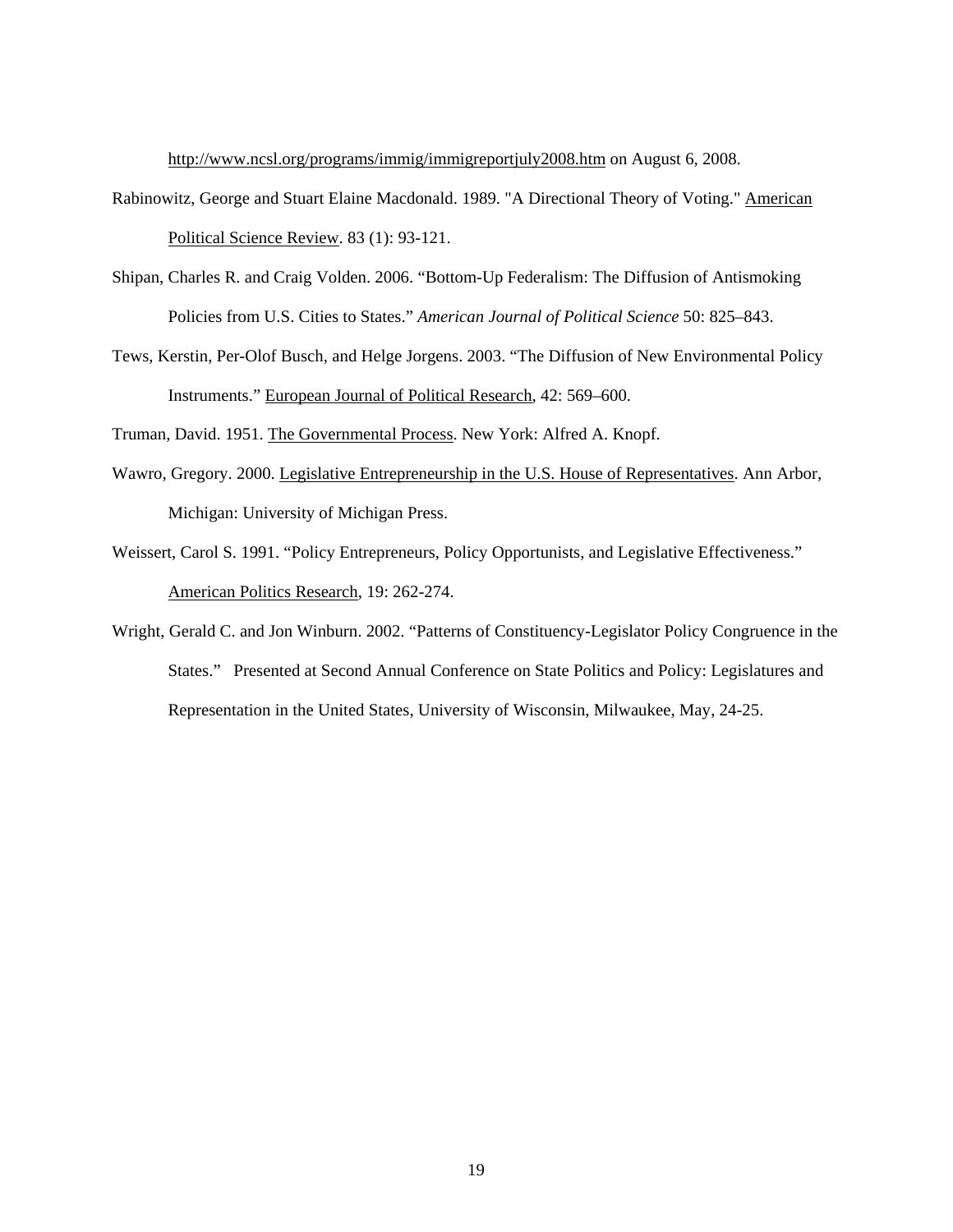http://www.ncsl.org/programs/immig/immigreportjuly2008.htm on August 6, 2008.

- Rabinowitz, George and Stuart Elaine Macdonald. 1989. "A Directional Theory of Voting." American Political Science Review. 83 (1): 93-121.
- Shipan, Charles R. and Craig Volden. 2006. "Bottom-Up Federalism: The Diffusion of Antismoking Policies from U.S. Cities to States." *American Journal of Political Science* 50: 825–843.
- Tews, Kerstin, Per-Olof Busch, and Helge Jorgens. 2003. "The Diffusion of New Environmental Policy Instruments." European Journal of Political Research, 42: 569–600.

Truman, David. 1951. The Governmental Process. New York: Alfred A. Knopf.

- Wawro, Gregory. 2000. Legislative Entrepreneurship in the U.S. House of Representatives. Ann Arbor, Michigan: University of Michigan Press.
- Weissert, Carol S. 1991. "Policy Entrepreneurs, Policy Opportunists, and Legislative Effectiveness." American Politics Research, 19: 262-274.
- Wright, Gerald C. and Jon Winburn. 2002. "Patterns of Constituency-Legislator Policy Congruence in the States." Presented at Second Annual Conference on State Politics and Policy: Legislatures and Representation in the United States, University of Wisconsin, Milwaukee, May, 24-25.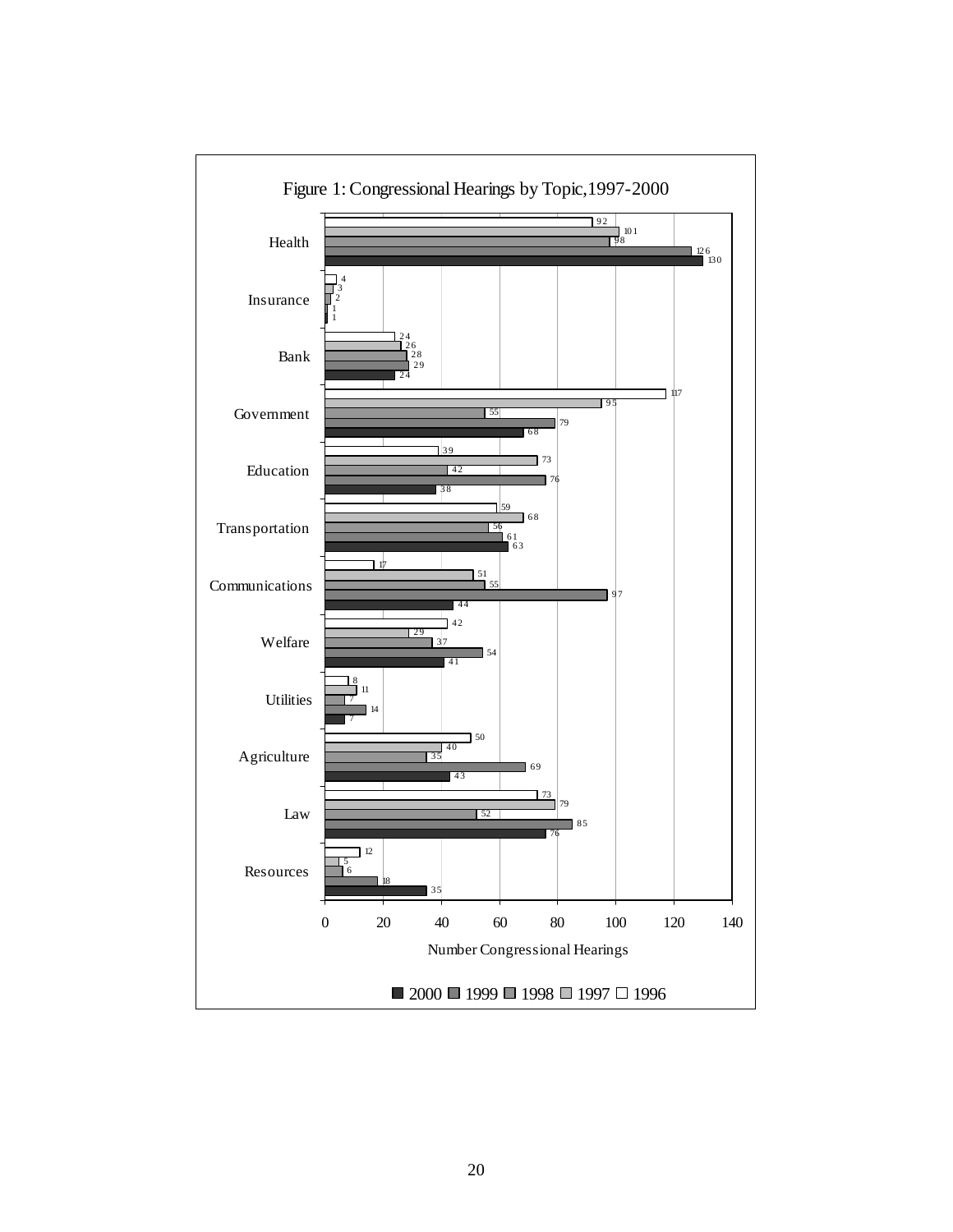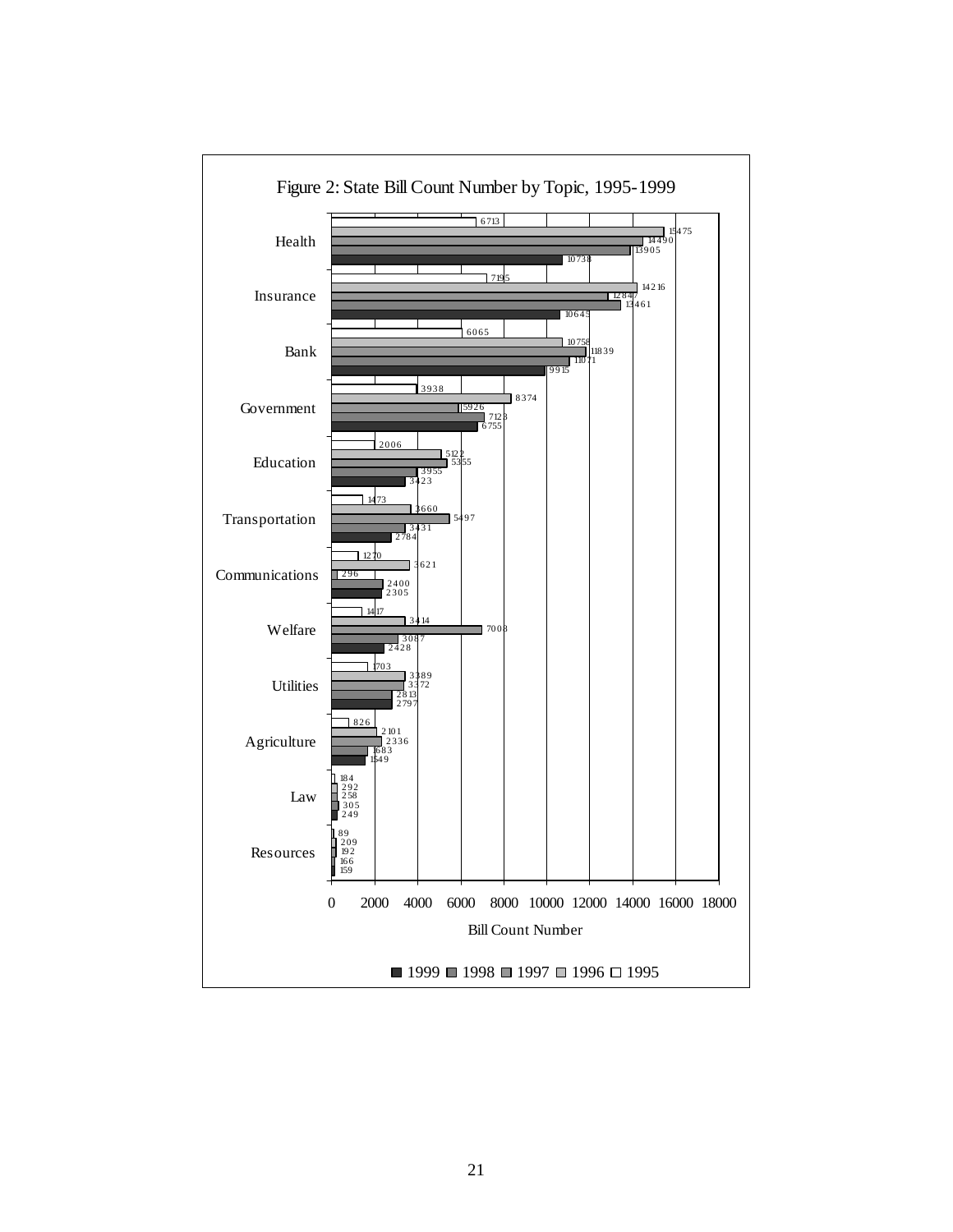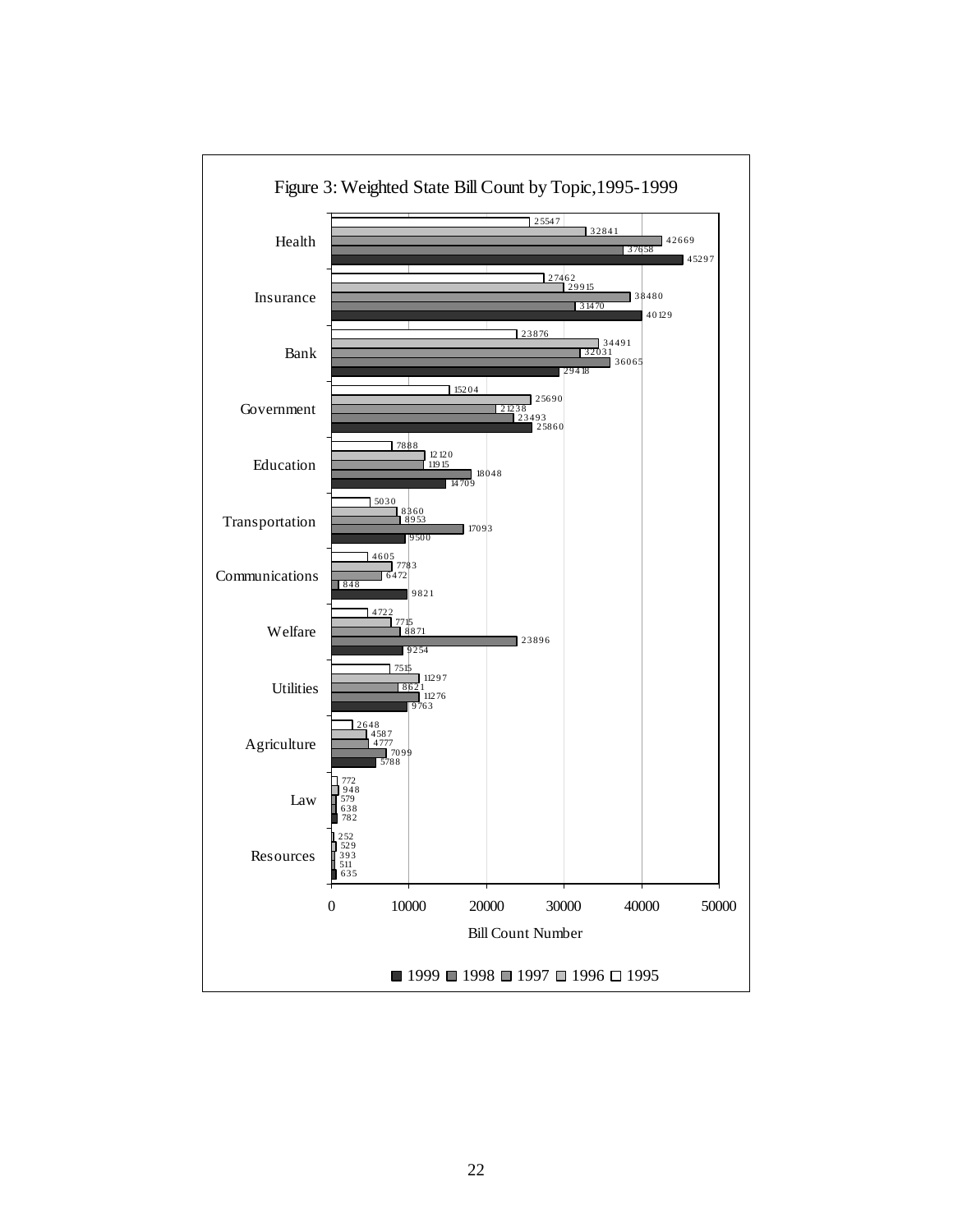